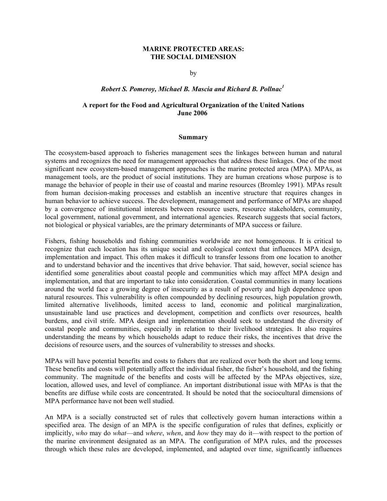#### **MARINE PROTECTED AREAS: THE SOCIAL DIMENSION**

by

#### *Robert S. Pomeroy, Michael B. Mascia and Richard B. Pollnac1*

#### **A report for the Food and Agricultural Organization of the United Nations June 2006**

#### **Summary**

The ecosystem-based approach to fisheries management sees the linkages between human and natural systems and recognizes the need for management approaches that address these linkages. One of the most significant new ecosystem-based management approaches is the marine protected area (MPA). MPAs, as management tools, are the product of social institutions. They are human creations whose purpose is to manage the behavior of people in their use of coastal and marine resources (Bromley 1991). MPAs result from human decision-making processes and establish an incentive structure that requires changes in human behavior to achieve success. The development, management and performance of MPAs are shaped by a convergence of institutional interests between resource users, resource stakeholders, community, local government, national government, and international agencies. Research suggests that social factors, not biological or physical variables, are the primary determinants of MPA success or failure.

Fishers, fishing households and fishing communities worldwide are not homogeneous. It is critical to recognize that each location has its unique social and ecological context that influences MPA design, implementation and impact. This often makes it difficult to transfer lessons from one location to another and to understand behavior and the incentives that drive behavior. That said, however, social science has identified some generalities about coastal people and communities which may affect MPA design and implementation, and that are important to take into consideration. Coastal communities in many locations around the world face a growing degree of insecurity as a result of poverty and high dependence upon natural resources. This vulnerability is often compounded by declining resources, high population growth, limited alternative livelihoods, limited access to land, economic and political marginalization, unsustainable land use practices and development, competition and conflicts over resources, health burdens, and civil strife. MPA design and implementation should seek to understand the diversity of coastal people and communities, especially in relation to their livelihood strategies. It also requires understanding the means by which households adapt to reduce their risks, the incentives that drive the decisions of resource users, and the sources of vulnerability to stresses and shocks.

MPAs will have potential benefits and costs to fishers that are realized over both the short and long terms. These benefits and costs will potentially affect the individual fisher, the fisher's household, and the fishing community. The magnitude of the benefits and costs will be affected by the MPAs objectives, size, location, allowed uses, and level of compliance. An important distributional issue with MPAs is that the benefits are diffuse while costs are concentrated. It should be noted that the sociocultural dimensions of MPA performance have not been well studied.

An MPA is a socially constructed set of rules that collectively govern human interactions within a specified area. The design of an MPA is the specific configuration of rules that defines, explicitly or implicitly, *who* may do *what*—and *where*, *when*, and *how* they may do it—with respect to the portion of the marine environment designated as an MPA. The configuration of MPA rules, and the processes through which these rules are developed, implemented, and adapted over time, significantly influences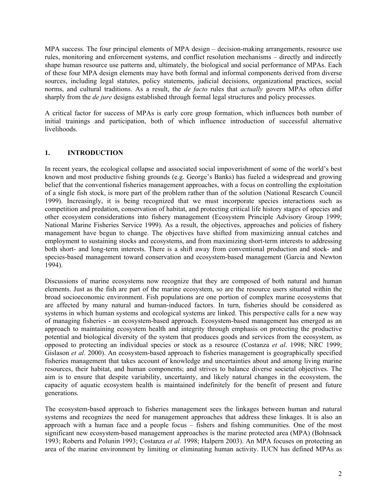MPA success. The four principal elements of MPA design – decision-making arrangements, resource use rules, monitoring and enforcement systems, and conflict resolution mechanisms – directly and indirectly shape human resource use patterns and, ultimately, the biological and social performance of MPAs. Each of these four MPA design elements may have both formal and informal components derived from diverse sources, including legal statutes, policy statements, judicial decisions, organizational practices, social norms, and cultural traditions. As a result, the *de facto* rules that *actually* govern MPAs often differ sharply from the *de jure* designs established through formal legal structures and policy processes.

A critical factor for success of MPAs is early core group formation, which influences both number of initial trainings and participation, both of which influence introduction of successful alternative livelihoods.

# **1. INTRODUCTION**

In recent years, the ecological collapse and associated social impoverishment of some of the world's best known and most productive fishing grounds (e.g. George's Banks) has fueled a widespread and growing belief that the conventional fisheries management approaches, with a focus on controlling the exploitation of a single fish stock, is more part of the problem rather than of the solution (National Research Council 1999). Increasingly, it is being recognized that we must incorporate species interactions such as competition and predation, conservation of habitat, and protecting critical life history stages of species and other ecosystem considerations into fishery management (Ecosystem Principle Advisory Group 1999; National Marine Fisheries Service 1999). As a result, the objectives, approaches and policies of fishery management have begun to change. The objectives have shifted from maximizing annual catches and employment to sustaining stocks and ecosystems, and from maximizing short-term interests to addressing both short- and long-term interests. There is a shift away from conventional production and stock- and species-based management toward conservation and ecosystem-based management (Garcia and Newton 1994).

Discussions of marine ecosystems now recognize that they are composed of both natural and human elements. Just as the fish are part of the marine ecosystem, so are the resource users situated within the broad socioeconomic environment. Fish populations are one portion of complex marine ecosystems that are affected by many natural and human-induced factors. In turn, fisheries should be considered as systems in which human systems and ecological systems are linked. This perspective calls for a new way of managing fisheries - an ecosystem-based approach. Ecosystem-based management has emerged as an approach to maintaining ecosystem health and integrity through emphasis on protecting the productive potential and biological diversity of the system that produces goods and services from the ecosystem, as opposed to protecting an individual species or stock as a resource (Costanza *et al*. 1998; NRC 1999; Gislason *et al*. 2000). An ecosystem-based approach to fisheries management is geographically specified fisheries management that takes account of knowledge and uncertainties about and among living marine resources, their habitat, and human components; and strives to balance diverse societal objectives. The aim is to ensure that despite variability, uncertainty, and likely natural changes in the ecosystem, the capacity of aquatic ecosystem health is maintained indefinitely for the benefit of present and future generations.

The ecosystem-based approach to fisheries management sees the linkages between human and natural systems and recognizes the need for management approaches that address these linkages. It is also an approach with a human face and a people focus – fishers and fishing communities. One of the most significant new ecosystem-based management approaches is the marine protected area (MPA) (Bohnsack 1993; Roberts and Polunin 1993; Costanza *et al.* 1998; Halpern 2003). An MPA focuses on protecting an area of the marine environment by limiting or eliminating human activity. IUCN has defined MPAs as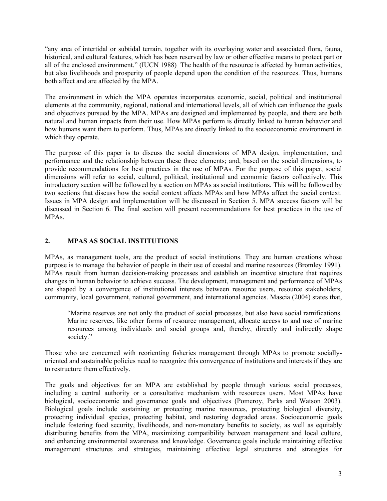"any area of intertidal or subtidal terrain, together with its overlaying water and associated flora, fauna, historical, and cultural features, which has been reserved by law or other effective means to protect part or all of the enclosed environment." (IUCN 1988) The health of the resource is affected by human activities, but also livelihoods and prosperity of people depend upon the condition of the resources. Thus, humans both affect and are affected by the MPA.

The environment in which the MPA operates incorporates economic, social, political and institutional elements at the community, regional, national and international levels, all of which can influence the goals and objectives pursued by the MPA. MPAs are designed and implemented by people, and there are both natural and human impacts from their use. How MPAs perform is directly linked to human behavior and how humans want them to perform. Thus, MPAs are directly linked to the socioeconomic environment in which they operate.

The purpose of this paper is to discuss the social dimensions of MPA design, implementation, and performance and the relationship between these three elements; and, based on the social dimensions, to provide recommendations for best practices in the use of MPAs. For the purpose of this paper, social dimensions will refer to social, cultural, political, institutional and economic factors collectively. This introductory section will be followed by a section on MPAs as social institutions. This will be followed by two sections that discuss how the social context affects MPAs and how MPAs affect the social context. Issues in MPA design and implementation will be discussed in Section 5. MPA success factors will be discussed in Section 6. The final section will present recommendations for best practices in the use of MPAs.

## **2. MPAS AS SOCIAL INSTITUTIONS**

MPAs, as management tools, are the product of social institutions. They are human creations whose purpose is to manage the behavior of people in their use of coastal and marine resources (Bromley 1991). MPAs result from human decision-making processes and establish an incentive structure that requires changes in human behavior to achieve success. The development, management and performance of MPAs are shaped by a convergence of institutional interests between resource users, resource stakeholders, community, local government, national government, and international agencies. Mascia (2004) states that,

"Marine reserves are not only the product of social processes, but also have social ramifications. Marine reserves, like other forms of resource management, allocate access to and use of marine resources among individuals and social groups and, thereby, directly and indirectly shape society."

Those who are concerned with reorienting fisheries management through MPAs to promote sociallyoriented and sustainable policies need to recognize this convergence of institutions and interests if they are to restructure them effectively.

The goals and objectives for an MPA are established by people through various social processes, including a central authority or a consultative mechanism with resources users. Most MPAs have biological, socioeconomic and governance goals and objectives (Pomeroy, Parks and Watson 2003). Biological goals include sustaining or protecting marine resources, protecting biological diversity, protecting individual species, protecting habitat, and restoring degraded areas. Socioeconomic goals include fostering food security, livelihoods, and non-monetary benefits to society, as well as equitably distributing benefits from the MPA, maximizing compatibility between management and local culture, and enhancing environmental awareness and knowledge. Governance goals include maintaining effective management structures and strategies, maintaining effective legal structures and strategies for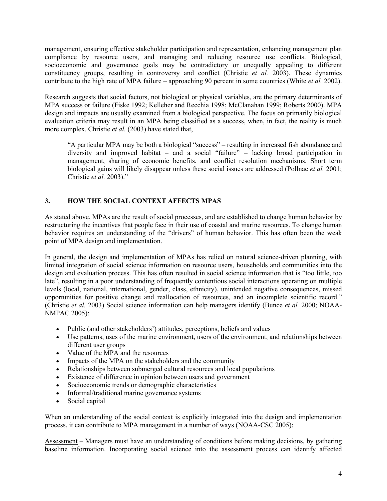management, ensuring effective stakeholder participation and representation, enhancing management plan compliance by resource users, and managing and reducing resource use conflicts. Biological, socioeconomic and governance goals may be contradictory or unequally appealing to different constituency groups, resulting in controversy and conflict (Christie *et al.* 2003). These dynamics contribute to the high rate of MPA failure – approaching 90 percent in some countries (White *et al.* 2002).

Research suggests that social factors, not biological or physical variables, are the primary determinants of MPA success or failure (Fiske 1992; Kelleher and Recchia 1998; McClanahan 1999; Roberts 2000). MPA design and impacts are usually examined from a biological perspective. The focus on primarily biological evaluation criteria may result in an MPA being classified as a success, when, in fact, the reality is much more complex. Christie *et al.* (2003) have stated that,

"A particular MPA may be both a biological "success" – resulting in increased fish abundance and diversity and improved habitat – and a social "failure" – lacking broad participation in management, sharing of economic benefits, and conflict resolution mechanisms. Short term biological gains will likely disappear unless these social issues are addressed (Pollnac *et al.* 2001; Christie *et al.* 2003)."

# **3. HOW THE SOCIAL CONTEXT AFFECTS MPAS**

As stated above, MPAs are the result of social processes, and are established to change human behavior by restructuring the incentives that people face in their use of coastal and marine resources. To change human behavior requires an understanding of the "drivers" of human behavior. This has often been the weak point of MPA design and implementation.

In general, the design and implementation of MPAs has relied on natural science-driven planning, with limited integration of social science information on resource users, households and communities into the design and evaluation process. This has often resulted in social science information that is "too little, too late", resulting in a poor understanding of frequently contentious social interactions operating on multiple levels (local, national, international, gender, class, ethnicity), unintended negative consequences, missed opportunities for positive change and reallocation of resources, and an incomplete scientific record." (Christie *et al.* 2003) Social science information can help managers identify (Bunce *et al.* 2000; NOAA-NMPAC 2005):

- Public (and other stakeholders') attitudes, perceptions, beliefs and values
- Use patterns, uses of the marine environment, users of the environment, and relationships between different user groups
- Value of the MPA and the resources
- Impacts of the MPA on the stakeholders and the community
- Relationships between submerged cultural resources and local populations
- Existence of difference in opinion between users and government
- Socioeconomic trends or demographic characteristics
- Informal/traditional marine governance systems
- Social capital

When an understanding of the social context is explicitly integrated into the design and implementation process, it can contribute to MPA management in a number of ways (NOAA-CSC 2005):

Assessment – Managers must have an understanding of conditions before making decisions, by gathering baseline information. Incorporating social science into the assessment process can identify affected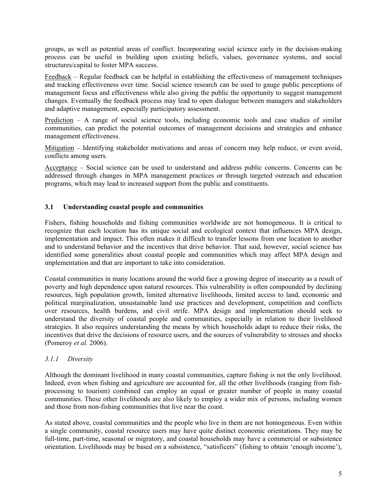groups, as well as potential areas of conflict. Incorporating social science early in the decision-making process can be useful in building upon existing beliefs, values, governance systems, and social structures/capital to foster MPA success.

Feedback – Regular feedback can be helpful in establishing the effectiveness of management techniques and tracking effectiveness over time. Social science research can be used to gauge public perceptions of management focus and effectiveness while also giving the public the opportunity to suggest management changes. Eventually the feedback process may lead to open dialogue between managers and stakeholders and adaptive management, especially participatory assessment.

Prediction – A range of social science tools, including economic tools and case studies of similar communities, can predict the potential outcomes of management decisions and strategies and enhance management effectiveness.

Mitigation – Identifying stakeholder motivations and areas of concern may help reduce, or even avoid, conflicts among users.

Acceptance – Social science can be used to understand and address public concerns. Concerns can be addressed through changes in MPA management practices or through targeted outreach and education programs, which may lead to increased support from the public and constituents.

## **3.1 Understanding coastal people and communities**

Fishers, fishing households and fishing communities worldwide are not homogeneous. It is critical to recognize that each location has its unique social and ecological context that influences MPA design, implementation and impact. This often makes it difficult to transfer lessons from one location to another and to understand behavior and the incentives that drive behavior. That said, however, social science has identified some generalities about coastal people and communities which may affect MPA design and implementation and that are important to take into consideration.

Coastal communities in many locations around the world face a growing degree of insecurity as a result of poverty and high dependence upon natural resources. This vulnerability is often compounded by declining resources, high population growth, limited alternative livelihoods, limited access to land, economic and political marginalization, unsustainable land use practices and development, competition and conflicts over resources, health burdens, and civil strife. MPA design and implementation should seek to understand the diversity of coastal people and communities, especially in relation to their livelihood strategies. It also requires understanding the means by which households adapt to reduce their risks, the incentives that drive the decisions of resource users, and the sources of vulnerability to stresses and shocks (Pomeroy *et al.* 2006).

#### *3.1.1 Diversity*

Although the dominant livelihood in many coastal communities, capture fishing is not the only livelihood. Indeed, even when fishing and agriculture are accounted for, all the other livelihoods (ranging from fishprocessing to tourism) combined can employ an equal or greater number of people in many coastal communities. These other livelihoods are also likely to employ a wider mix of persons, including women and those from non-fishing communities that live near the coast.

As stated above, coastal communities and the people who live in them are not homogeneous. Even within a single community, coastal resource users may have quite distinct economic orientations. They may be full-time, part-time, seasonal or migratory, and coastal households may have a commercial or subsistence orientation. Livelihoods may be based on a subsistence, "satisficers" (fishing to obtain 'enough income'),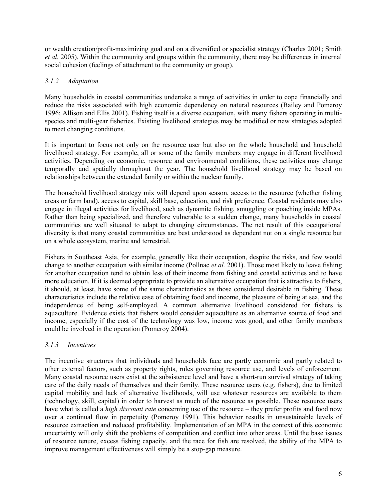or wealth creation/profit-maximizing goal and on a diversified or specialist strategy (Charles 2001; Smith *et al.* 2005). Within the community and groups within the community, there may be differences in internal social cohesion (feelings of attachment to the community or group).

# *3.1.2 Adaptation*

Many households in coastal communities undertake a range of activities in order to cope financially and reduce the risks associated with high economic dependency on natural resources (Bailey and Pomeroy 1996; Allison and Ellis 2001). Fishing itself is a diverse occupation, with many fishers operating in multispecies and multi-gear fisheries. Existing livelihood strategies may be modified or new strategies adopted to meet changing conditions.

It is important to focus not only on the resource user but also on the whole household and household livelihood strategy. For example, all or some of the family members may engage in different livelihood activities. Depending on economic, resource and environmental conditions, these activities may change temporally and spatially throughout the year. The household livelihood strategy may be based on relationships between the extended family or within the nuclear family.

The household livelihood strategy mix will depend upon season, access to the resource (whether fishing areas or farm land), access to capital, skill base, education, and risk preference. Coastal residents may also engage in illegal activities for livelihood, such as dynamite fishing, smuggling or poaching inside MPAs. Rather than being specialized, and therefore vulnerable to a sudden change, many households in coastal communities are well situated to adapt to changing circumstances. The net result of this occupational diversity is that many coastal communities are best understood as dependent not on a single resource but on a whole ecosystem, marine and terrestrial.

Fishers in Southeast Asia, for example, generally like their occupation, despite the risks, and few would change to another occupation with similar income (Pollnac *et al.* 2001). Those most likely to leave fishing for another occupation tend to obtain less of their income from fishing and coastal activities and to have more education. If it is deemed appropriate to provide an alternative occupation that is attractive to fishers, it should, at least, have some of the same characteristics as those considered desirable in fishing. These characteristics include the relative ease of obtaining food and income, the pleasure of being at sea, and the independence of being self-employed. A common alternative livelihood considered for fishers is aquaculture. Evidence exists that fishers would consider aquaculture as an alternative source of food and income, especially if the cost of the technology was low, income was good, and other family members could be involved in the operation (Pomeroy 2004).

## *3.1.3 Incentives*

The incentive structures that individuals and households face are partly economic and partly related to other external factors, such as property rights, rules governing resource use, and levels of enforcement. Many coastal resource users exist at the subsistence level and have a short-run survival strategy of taking care of the daily needs of themselves and their family. These resource users (e.g. fishers), due to limited capital mobility and lack of alternative livelihoods, will use whatever resources are available to them (technology, skill, capital) in order to harvest as much of the resource as possible. These resource users have what is called a *high discount rate* concerning use of the resource – they prefer profits and food now over a continual flow in perpetuity (Pomeroy 1991). This behavior results in unsustainable levels of resource extraction and reduced profitability. Implementation of an MPA in the context of this economic uncertainty will only shift the problems of competition and conflict into other areas. Until the base issues of resource tenure, excess fishing capacity, and the race for fish are resolved, the ability of the MPA to improve management effectiveness will simply be a stop-gap measure.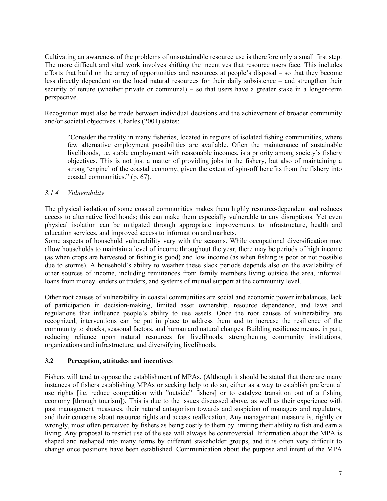Cultivating an awareness of the problems of unsustainable resource use is therefore only a small first step. The more difficult and vital work involves shifting the incentives that resource users face. This includes efforts that build on the array of opportunities and resources at people's disposal – so that they become less directly dependent on the local natural resources for their daily subsistence – and strengthen their security of tenure (whether private or communal) – so that users have a greater stake in a longer-term perspective.

Recognition must also be made between individual decisions and the achievement of broader community and/or societal objectives. Charles (2001) states:

"Consider the reality in many fisheries, located in regions of isolated fishing communities, where few alternative employment possibilities are available. Often the maintenance of sustainable livelihoods, i.e. stable employment with reasonable incomes, is a priority among society's fishery objectives. This is not just a matter of providing jobs in the fishery, but also of maintaining a strong 'engine' of the coastal economy, given the extent of spin-off benefits from the fishery into coastal communities." (p. 67).

## *3.1.4 Vulnerability*

The physical isolation of some coastal communities makes them highly resource-dependent and reduces access to alternative livelihoods; this can make them especially vulnerable to any disruptions. Yet even physical isolation can be mitigated through appropriate improvements to infrastructure, health and education services, and improved access to information and markets.

Some aspects of household vulnerability vary with the seasons. While occupational diversification may allow households to maintain a level of income throughout the year, there may be periods of high income (as when crops are harvested or fishing is good) and low income (as when fishing is poor or not possible due to storms). A household's ability to weather these slack periods depends also on the availability of other sources of income, including remittances from family members living outside the area, informal loans from money lenders or traders, and systems of mutual support at the community level.

Other root causes of vulnerability in coastal communities are social and economic power imbalances, lack of participation in decision-making, limited asset ownership, resource dependence, and laws and regulations that influence people's ability to use assets. Once the root causes of vulnerability are recognized, interventions can be put in place to address them and to increase the resilience of the community to shocks, seasonal factors, and human and natural changes. Building resilience means, in part, reducing reliance upon natural resources for livelihoods, strengthening community institutions, organizations and infrastructure, and diversifying livelihoods.

## **3.2 Perception, attitudes and incentives**

Fishers will tend to oppose the establishment of MPAs. (Although it should be stated that there are many instances of fishers establishing MPAs or seeking help to do so, either as a way to establish preferential use rights [i.e. reduce competition with "outside" fishers] or to catalyze transition out of a fishing economy [through tourism]). This is due to the issues discussed above, as well as their experience with past management measures, their natural antagonism towards and suspicion of managers and regulators, and their concerns about resource rights and access reallocation. Any management measure is, rightly or wrongly, most often perceived by fishers as being costly to them by limiting their ability to fish and earn a living. Any proposal to restrict use of the sea will always be controversial. Information about the MPA is shaped and reshaped into many forms by different stakeholder groups, and it is often very difficult to change once positions have been established. Communication about the purpose and intent of the MPA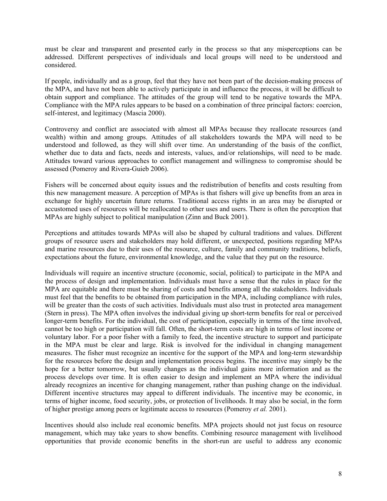must be clear and transparent and presented early in the process so that any misperceptions can be addressed. Different perspectives of individuals and local groups will need to be understood and considered.

If people, individually and as a group, feel that they have not been part of the decision-making process of the MPA, and have not been able to actively participate in and influence the process, it will be difficult to obtain support and compliance. The attitudes of the group will tend to be negative towards the MPA. Compliance with the MPA rules appears to be based on a combination of three principal factors: coercion, self-interest, and legitimacy (Mascia 2000).

Controversy and conflict are associated with almost all MPAs because they reallocate resources (and wealth) within and among groups. Attitudes of all stakeholders towards the MPA will need to be understood and followed, as they will shift over time. An understanding of the basis of the conflict, whether due to data and facts, needs and interests, values, and/or relationships, will need to be made. Attitudes toward various approaches to conflict management and willingness to compromise should be assessed (Pomeroy and Rivera-Guieb 2006).

Fishers will be concerned about equity issues and the redistribution of benefits and costs resulting from this new management measure. A perception of MPAs is that fishers will give up benefits from an area in exchange for highly uncertain future returns. Traditional access rights in an area may be disrupted or accustomed uses of resources will be reallocated to other uses and users. There is often the perception that MPAs are highly subject to political manipulation (Zinn and Buck 2001).

Perceptions and attitudes towards MPAs will also be shaped by cultural traditions and values. Different groups of resource users and stakeholders may hold different, or unexpected, positions regarding MPAs and marine resources due to their uses of the resource, culture, family and community traditions, beliefs, expectations about the future, environmental knowledge, and the value that they put on the resource.

Individuals will require an incentive structure (economic, social, political) to participate in the MPA and the process of design and implementation. Individuals must have a sense that the rules in place for the MPA are equitable and there must be sharing of costs and benefits among all the stakeholders. Individuals must feel that the benefits to be obtained from participation in the MPA, including compliance with rules, will be greater than the costs of such activities. Individuals must also trust in protected area management (Stern in press). The MPA often involves the individual giving up short-term benefits for real or perceived longer-term benefits. For the individual, the cost of participation, especially in terms of the time involved, cannot be too high or participation will fall. Often, the short-term costs are high in terms of lost income or voluntary labor. For a poor fisher with a family to feed, the incentive structure to support and participate in the MPA must be clear and large. Risk is involved for the individual in changing management measures. The fisher must recognize an incentive for the support of the MPA and long-term stewardship for the resources before the design and implementation process begins. The incentive may simply be the hope for a better tomorrow, but usually changes as the individual gains more information and as the process develops over time. It is often easier to design and implement an MPA where the individual already recognizes an incentive for changing management, rather than pushing change on the individual. Different incentive structures may appeal to different individuals. The incentive may be economic, in terms of higher income, food security, jobs, or protection of livelihoods. It may also be social, in the form of higher prestige among peers or legitimate access to resources (Pomeroy *et al.* 2001).

Incentives should also include real economic benefits. MPA projects should not just focus on resource management, which may take years to show benefits. Combining resource management with livelihood opportunities that provide economic benefits in the short-run are useful to address any economic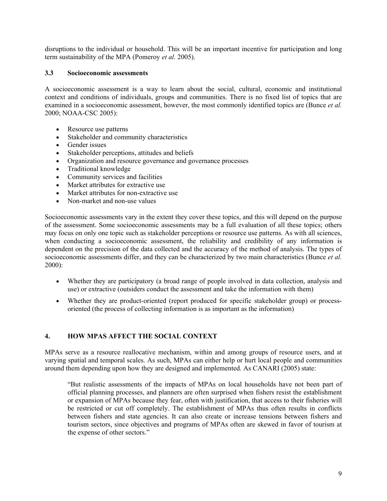disruptions to the individual or household. This will be an important incentive for participation and long term sustainability of the MPA (Pomeroy *et al.* 2005).

## **3.3 Socioeconomic assessments**

A socioeconomic assessment is a way to learn about the social, cultural, economic and institutional context and conditions of individuals, groups and communities. There is no fixed list of topics that are examined in a socioeconomic assessment, however, the most commonly identified topics are (Bunce *et al.* 2000; NOAA-CSC 2005):

- Resource use patterns
- Stakeholder and community characteristics
- Gender issues
- Stakeholder perceptions, attitudes and beliefs
- Organization and resource governance and governance processes
- Traditional knowledge
- Community services and facilities
- Market attributes for extractive use
- Market attributes for non-extractive use
- Non-market and non-use values

Socioeconomic assessments vary in the extent they cover these topics, and this will depend on the purpose of the assessment. Some socioeconomic assessments may be a full evaluation of all these topics; others may focus on only one topic such as stakeholder perceptions or resource use patterns. As with all sciences, when conducting a socioeconomic assessment, the reliability and credibility of any information is dependent on the precision of the data collected and the accuracy of the method of analysis. The types of socioeconomic assessments differ, and they can be characterized by two main characteristics (Bunce *et al.* 2000):

- Whether they are participatory (a broad range of people involved in data collection, analysis and use) or extractive (outsiders conduct the assessment and take the information with them)
- Whether they are product-oriented (report produced for specific stakeholder group) or processoriented (the process of collecting information is as important as the information)

## **4. HOW MPAS AFFECT THE SOCIAL CONTEXT**

MPAs serve as a resource reallocative mechanism, within and among groups of resource users, and at varying spatial and temporal scales. As such, MPAs can either help or hurt local people and communities around them depending upon how they are designed and implemented. As CANARI (2005) state:

"But realistic assessments of the impacts of MPAs on local households have not been part of official planning processes, and planners are often surprised when fishers resist the establishment or expansion of MPAs because they fear, often with justification, that access to their fisheries will be restricted or cut off completely. The establishment of MPAs thus often results in conflicts between fishers and state agencies. It can also create or increase tensions between fishers and tourism sectors, since objectives and programs of MPAs often are skewed in favor of tourism at the expense of other sectors."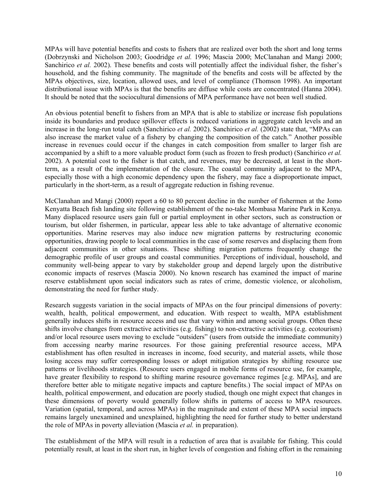MPAs will have potential benefits and costs to fishers that are realized over both the short and long terms (Dobrzynski and Nicholson 2003; Goodridge *et al.* 1996; Mascia 2000; McClanahan and Mangi 2000; Sanchirico *et al.* 2002). These benefits and costs will potentially affect the individual fisher, the fisher's household, and the fishing community. The magnitude of the benefits and costs will be affected by the MPAs objectives, size, location, allowed uses, and level of compliance (Thomson 1998). An important distributional issue with MPAs is that the benefits are diffuse while costs are concentrated (Hanna 2004). It should be noted that the sociocultural dimensions of MPA performance have not been well studied.

An obvious potential benefit to fishers from an MPA that is able to stabilize or increase fish populations inside its boundaries and produce spillover effects is reduced variations in aggregate catch levels and an increase in the long-run total catch (Sanchirico *et al.* 2002). Sanchirico *et al.* (2002) state that, "MPAs can also increase the market value of a fishery by changing the composition of the catch." Another possible increase in revenues could occur if the changes in catch composition from smaller to larger fish are accompanied by a shift to a more valuable product form (such as frozen to fresh product) (Sanchirico *et al.* 2002). A potential cost to the fisher is that catch, and revenues, may be decreased, at least in the shortterm, as a result of the implementation of the closure. The coastal community adjacent to the MPA, especially those with a high economic dependency upon the fishery, may face a disproportionate impact, particularly in the short-term, as a result of aggregate reduction in fishing revenue.

McClanahan and Mangi (2000) report a 60 to 80 percent decline in the number of fishermen at the Jomo Kenyatta Beach fish landing site following establishment of the no-take Mombasa Marine Park in Kenya. Many displaced resource users gain full or partial employment in other sectors, such as construction or tourism, but older fishermen, in particular, appear less able to take advantage of alternative economic opportunities. Marine reserves may also induce new migration patterns by restructuring economic opportunities, drawing people to local communities in the case of some reserves and displacing them from adjacent communities in other situations. These shifting migration patterns frequently change the demographic profile of user groups and coastal communities. Perceptions of individual, household, and community well-being appear to vary by stakeholder group and depend largely upon the distributive economic impacts of reserves (Mascia 2000). No known research has examined the impact of marine reserve establishment upon social indicators such as rates of crime, domestic violence, or alcoholism, demonstrating the need for further study.

Research suggests variation in the social impacts of MPAs on the four principal dimensions of poverty: wealth, health, political empowerment, and education. With respect to wealth, MPA establishment generally induces shifts in resource access and use that vary within and among social groups. Often these shifts involve changes from extractive activities (e.g. fishing) to non-extractive activities (e.g. ecotourism) and/or local resource users moving to exclude "outsiders" (users from outside the immediate community) from accessing nearby marine resources. For those gaining preferential resource access, MPA establishment has often resulted in increases in income, food security, and material assets, while those losing access may suffer corresponding losses or adopt mitigation strategies by shifting resource use patterns or livelihoods strategies. (Resource users engaged in mobile forms of resource use, for example, have greater flexibility to respond to shifting marine resource governance regimes [e.g. MPAs], and are therefore better able to mitigate negative impacts and capture benefits.) The social impact of MPAs on health, political empowerment, and education are poorly studied, though one might expect that changes in these dimensions of poverty would generally follow shifts in patterns of access to MPA resources. Variation (spatial, temporal, and across MPAs) in the magnitude and extent of these MPA social impacts remains largely unexamined and unexplained, highlighting the need for further study to better understand the role of MPAs in poverty alleviation (Mascia *et al.* in preparation).

The establishment of the MPA will result in a reduction of area that is available for fishing. This could potentially result, at least in the short run, in higher levels of congestion and fishing effort in the remaining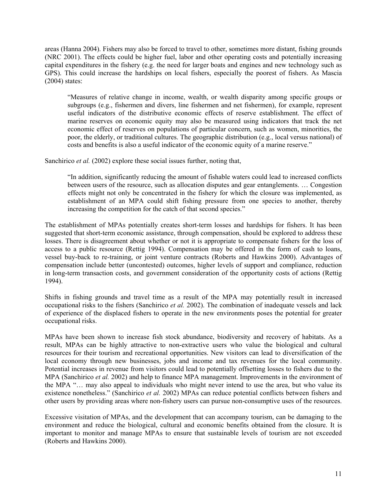areas (Hanna 2004). Fishers may also be forced to travel to other, sometimes more distant, fishing grounds (NRC 2001). The effects could be higher fuel, labor and other operating costs and potentially increasing capital expenditures in the fishery (e.g. the need for larger boats and engines and new technology such as GPS). This could increase the hardships on local fishers, especially the poorest of fishers. As Mascia (2004) states:

"Measures of relative change in income, wealth, or wealth disparity among specific groups or subgroups (e.g., fishermen and divers, line fishermen and net fishermen), for example, represent useful indicators of the distributive economic effects of reserve establishment. The effect of marine reserves on economic equity may also be measured using indicators that track the net economic effect of reserves on populations of particular concern, such as women, minorities, the poor, the elderly, or traditional cultures. The geographic distribution (e.g., local versus national) of costs and benefits is also a useful indicator of the economic equity of a marine reserve."

Sanchirico *et al.* (2002) explore these social issues further, noting that,

"In addition, significantly reducing the amount of fishable waters could lead to increased conflicts between users of the resource, such as allocation disputes and gear entanglements. … Congestion effects might not only be concentrated in the fishery for which the closure was implemented, as establishment of an MPA could shift fishing pressure from one species to another, thereby increasing the competition for the catch of that second species."

The establishment of MPAs potentially creates short-term losses and hardships for fishers. It has been suggested that short-term economic assistance, through compensation, should be explored to address these losses. There is disagreement about whether or not it is appropriate to compensate fishers for the loss of access to a public resource (Rettig 1994). Compensation may be offered in the form of cash to loans, vessel buy-back to re-training, or joint venture contracts (Roberts and Hawkins 2000). Advantages of compensation include better (uncontested) outcomes, higher levels of support and compliance, reduction in long-term transaction costs, and government consideration of the opportunity costs of actions (Rettig 1994).

Shifts in fishing grounds and travel time as a result of the MPA may potentially result in increased occupational risks to the fishers (Sanchirico *et al.* 2002). The combination of inadequate vessels and lack of experience of the displaced fishers to operate in the new environments poses the potential for greater occupational risks.

MPAs have been shown to increase fish stock abundance, biodiversity and recovery of habitats. As a result, MPAs can be highly attractive to non-extractive users who value the biological and cultural resources for their tourism and recreational opportunities. New visitors can lead to diversification of the local economy through new businesses, jobs and income and tax revenues for the local community. Potential increases in revenue from visitors could lead to potentially offsetting losses to fishers due to the MPA (Sanchirico *et al.* 2002) and help to finance MPA management. Improvements in the environment of the MPA "… may also appeal to individuals who might never intend to use the area, but who value its existence nonetheless." (Sanchirico *et al.* 2002) MPAs can reduce potential conflicts between fishers and other users by providing areas where non-fishery users can pursue non-consumptive uses of the resources.

Excessive visitation of MPAs, and the development that can accompany tourism, can be damaging to the environment and reduce the biological, cultural and economic benefits obtained from the closure. It is important to monitor and manage MPAs to ensure that sustainable levels of tourism are not exceeded (Roberts and Hawkins 2000).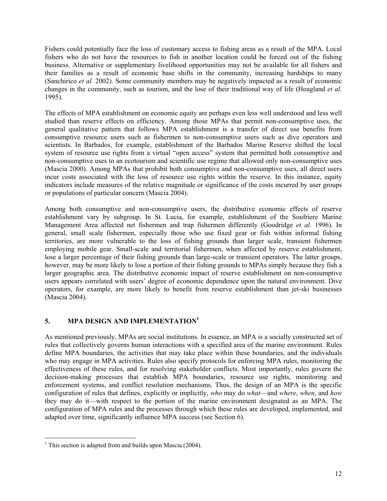Fishers could potentially face the loss of customary access to fishing areas as a result of the MPA. Local fishers who do not have the resources to fish in another location could be forced out of the fishing business. Alternative or supplementary livelihood opportunities may not be available for all fishers and their families as a result of economic base shifts in the community, increasing hardships to many (Sanchirico *et al.* 2002). Some community members may be negatively impacted as a result of economic changes in the community, such as tourism, and the lose of their traditional way of life (Hoagland *et al.* 1995).

The effects of MPA establishment on economic equity are perhaps even less well understood and less well studied than reserve effects on efficiency. Among those MPAs that permit non-consumptive uses, the general qualitative pattern that follows MPA establishment is a transfer of direct use benefits from consumptive resource users such as fishermen to non-consumptive users such as dive operators and scientists. In Barbados, for example, establishment of the Barbados Marine Reserve shifted the local system of resource use rights from a virtual "open access" system that permitted both consumptive and non-consumptive uses to an ecotourism and scientific use regime that allowed only non-consumptive uses (Mascia 2000). Among MPAs that prohibit both consumptive and non-consumptive uses, all direct users incur costs associated with the loss of resource use rights within the reserve. In this instance, equity indicators include measures of the relative magnitude or significance of the costs incurred by user groups or populations of particular concern (Mascia 2004).

Among both consumptive and non-consumptive users, the distributive economic effects of reserve establishment vary by subgroup. In St. Lucia, for example, establishment of the Soufriere Marine Management Area affected net fishermen and trap fishermen differently (Goodridge *et al.* 1996). In general, small scale fishermen, especially those who use fixed gear or fish within informal fishing territories, are more vulnerable to the loss of fishing grounds than larger scale, transient fishermen employing mobile gear. Small-scale and territorial fishermen, when affected by reserve establishment, lose a larger percentage of their fishing grounds than large-scale or transient operators. The latter groups, however, may be more likely to lose a portion of their fishing grounds to MPAs simply because they fish a larger geographic area. The distributive economic impact of reserve establishment on non-consumptive users appears correlated with users' degree of economic dependence upon the natural environment. Dive operators, for example, are more likely to benefit from reserve establishment than jet-ski businesses (Mascia 2004).

# **5. MPA DESIGN AND IMPLEMENTATION<sup>1</sup>**

As mentioned previously, MPAs are social institutions. In essence, an MPA is a socially constructed set of rules that collectively governs human interactions with a specified area of the marine environment. Rules define MPA boundaries, the activities that may take place within these boundaries, and the individuals who may engage in MPA activities. Rules also specify protocols for enforcing MPA rules, monitoring the effectiveness of these rules, and for resolving stakeholder conflicts. Most importantly, rules govern the decision-making processes that establish MPA boundaries, resource use rights, monitoring and enforcement systems, and conflict resolution mechanisms. Thus, the design of an MPA is the specific configuration of rules that defines, explicitly or implicitly, *who* may do *what*—and *where*, *when*, and *how*  they may do it—with respect to the portion of the marine environment designated as an MPA. The configuration of MPA rules and the processes through which these rules are developed, implemented, and adapted over time, significantly influence MPA success (see Section 6).

<sup>&</sup>lt;sup>1</sup> This section is adapted from and builds upon Mascia (2004).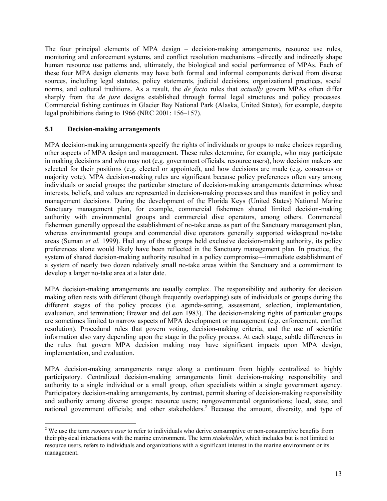The four principal elements of MPA design – decision-making arrangements, resource use rules, monitoring and enforcement systems, and conflict resolution mechanisms –directly and indirectly shape human resource use patterns and, ultimately, the biological and social performance of MPAs. Each of these four MPA design elements may have both formal and informal components derived from diverse sources, including legal statutes, policy statements, judicial decisions, organizational practices, social norms, and cultural traditions. As a result, the *de facto* rules that *actually* govern MPAs often differ sharply from the *de jure* designs established through formal legal structures and policy processes. Commercial fishing continues in Glacier Bay National Park (Alaska, United States), for example, despite legal prohibitions dating to 1966 (NRC 2001: 156–157).

#### **5.1 Decision-making arrangements**

 $\overline{a}$ 

MPA decision-making arrangements specify the rights of individuals or groups to make choices regarding other aspects of MPA design and management. These rules determine, for example, who may participate in making decisions and who may not (e.g. government officials, resource users), how decision makers are selected for their positions (e.g. elected or appointed), and how decisions are made (e.g. consensus or majority vote). MPA decision-making rules are significant because policy preferences often vary among individuals or social groups; the particular structure of decision-making arrangements determines whose interests, beliefs, and values are represented in decision-making processes and thus manifest in policy and management decisions. During the development of the Florida Keys (United States) National Marine Sanctuary management plan, for example, commercial fishermen shared limited decision-making authority with environmental groups and commercial dive operators, among others. Commercial fishermen generally opposed the establishment of no-take areas as part of the Sanctuary management plan, whereas environmental groups and commercial dive operators generally supported widespread no-take areas (Suman *et al.* 1999). Had any of these groups held exclusive decision-making authority, its policy preferences alone would likely have been reflected in the Sanctuary management plan. In practice, the system of shared decision-making authority resulted in a policy compromise—immediate establishment of a system of nearly two dozen relatively small no-take areas within the Sanctuary and a commitment to develop a larger no-take area at a later date.

MPA decision-making arrangements are usually complex. The responsibility and authority for decision making often rests with different (though frequently overlapping) sets of individuals or groups during the different stages of the policy process (i.e. agenda-setting, assessment, selection, implementation, evaluation, and termination; Brewer and deLeon 1983). The decision-making rights of particular groups are sometimes limited to narrow aspects of MPA development or management (e.g. enforcement, conflict resolution). Procedural rules that govern voting, decision-making criteria, and the use of scientific information also vary depending upon the stage in the policy process. At each stage, subtle differences in the rules that govern MPA decision making may have significant impacts upon MPA design, implementation, and evaluation.

MPA decision-making arrangements range along a continuum from highly centralized to highly participatory. Centralized decision-making arrangements limit decision-making responsibility and authority to a single individual or a small group, often specialists within a single government agency. Participatory decision-making arrangements, by contrast, permit sharing of decision-making responsibility and authority among diverse groups: resource users; nongovernmental organizations; local, state, and national government officials; and other stakeholders.<sup>2</sup> Because the amount, diversity, and type of

<sup>&</sup>lt;sup>2</sup> We use the term *resource user* to refer to individuals who derive consumptive or non-consumptive benefits from their physical interactions with the marine environment. The term *stakeholder,* which includes but is not limited to resource users, refers to individuals and organizations with a significant interest in the marine environment or its management.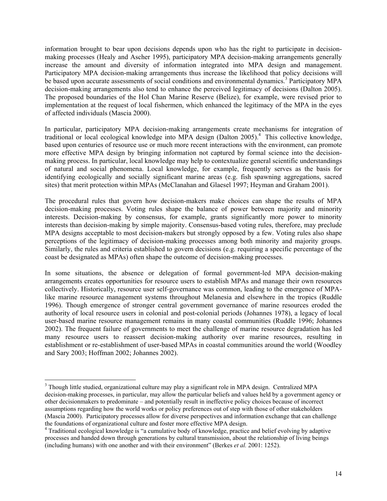information brought to bear upon decisions depends upon who has the right to participate in decisionmaking processes (Healy and Ascher 1995), participatory MPA decision-making arrangements generally increase the amount and diversity of information integrated into MPA design and management. Participatory MPA decision-making arrangements thus increase the likelihood that policy decisions will be based upon accurate assessments of social conditions and environmental dynamics.<sup>3</sup> Participatory MPA decision-making arrangements also tend to enhance the perceived legitimacy of decisions (Dalton 2005). The proposed boundaries of the Hol Chan Marine Reserve (Belize), for example, were revised prior to implementation at the request of local fishermen, which enhanced the legitimacy of the MPA in the eyes of affected individuals (Mascia 2000).

In particular, participatory MPA decision-making arrangements create mechanisms for integration of traditional or local ecological knowledge into MPA design (Dalton 2005).<sup>4</sup> This collective knowledge, based upon centuries of resource use or much more recent interactions with the environment, can promote more effective MPA design by bringing information not captured by formal science into the decisionmaking process. In particular, local knowledge may help to contextualize general scientific understandings of natural and social phenomena. Local knowledge, for example, frequently serves as the basis for identifying ecologically and socially significant marine areas (e.g. fish spawning aggregations, sacred sites) that merit protection within MPAs (McClanahan and Glaesel 1997; Heyman and Graham 2001).

The procedural rules that govern how decision-makers make choices can shape the results of MPA decision-making processes. Voting rules shape the balance of power between majority and minority interests. Decision-making by consensus, for example, grants significantly more power to minority interests than decision-making by simple majority. Consensus-based voting rules, therefore, may preclude MPA designs acceptable to most decision-makers but strongly opposed by a few. Voting rules also shape perceptions of the legitimacy of decision-making processes among both minority and majority groups. Similarly, the rules and criteria established to govern decisions (e.g. requiring a specific percentage of the coast be designated as MPAs) often shape the outcome of decision-making processes.

In some situations, the absence or delegation of formal government-led MPA decision-making arrangements creates opportunities for resource users to establish MPAs and manage their own resources collectively. Historically, resource user self-governance was common, leading to the emergence of MPAlike marine resource management systems throughout Melanesia and elsewhere in the tropics (Ruddle 1996). Though emergence of stronger central government governance of marine resources eroded the authority of local resource users in colonial and post-colonial periods (Johannes 1978), a legacy of local user-based marine resource management remains in many coastal communities (Ruddle 1996; Johannes 2002). The frequent failure of governments to meet the challenge of marine resource degradation has led many resource users to reassert decision-making authority over marine resources, resulting in establishment or re-establishment of user-based MPAs in coastal communities around the world (Woodley and Sary 2003; Hoffman 2002; Johannes 2002).

 $\overline{a}$ <sup>3</sup> Though little studied, organizational culture may play a significant role in MPA design. Centralized MPA decision-making processes, in particular, may allow the particular beliefs and values held by a government agency or other decisionmakers to predominate – and potentially result in ineffective policy choices because of incorrect assumptions regarding how the world works or policy preferences out of step with those of other stakeholders (Mascia 2000). Participatory processes allow for diverse perspectives and information exchange that can challenge the foundations of organizational culture and foster more effective MPA design.

<sup>&</sup>lt;sup>4</sup> Traditional ecological knowledge is "a cumulative body of knowledge, practice and belief evolving by adaptive processes and handed down through generations by cultural transmission, about the relationship of living beings (including humans) with one another and with their environment" (Berkes *et al.* 2001: 1252).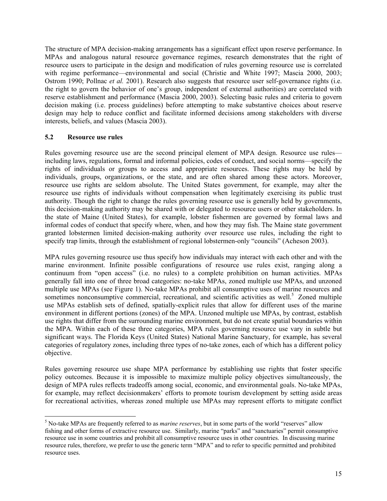The structure of MPA decision-making arrangements has a significant effect upon reserve performance. In MPAs and analogous natural resource governance regimes, research demonstrates that the right of resource users to participate in the design and modification of rules governing resource use is correlated with regime performance—environmental and social (Christie and White 1997; Mascia 2000, 2003; Ostrom 1990; Pollnac *et al.* 2001). Research also suggests that resource user self-governance rights (i.e. the right to govern the behavior of one's group, independent of external authorities) are correlated with reserve establishment and performance (Mascia 2000, 2003). Selecting basic rules and criteria to govern decision making (i.e. process guidelines) before attempting to make substantive choices about reserve design may help to reduce conflict and facilitate informed decisions among stakeholders with diverse interests, beliefs, and values (Mascia 2003).

#### **5.2 Resource use rules**

 $\overline{a}$ 

Rules governing resource use are the second principal element of MPA design. Resource use rules including laws, regulations, formal and informal policies, codes of conduct, and social norms—specify the rights of individuals or groups to access and appropriate resources. These rights may be held by individuals, groups, organizations, or the state, and are often shared among these actors. Moreover, resource use rights are seldom absolute. The United States government, for example, may alter the resource use rights of individuals without compensation when legitimately exercising its public trust authority. Though the right to change the rules governing resource use is generally held by governments, this decision-making authority may be shared with or delegated to resource users or other stakeholders. In the state of Maine (United States), for example, lobster fishermen are governed by formal laws and informal codes of conduct that specify where, when, and how they may fish. The Maine state government granted lobstermen limited decision-making authority over resource use rules, including the right to specify trap limits, through the establishment of regional lobstermen-only "councils" (Acheson 2003).

MPA rules governing resource use thus specify how individuals may interact with each other and with the marine environment. Infinite possible configurations of resource use rules exist, ranging along a continuum from "open access" (i.e. no rules) to a complete prohibition on human activities. MPAs generally fall into one of three broad categories: no-take MPAs, zoned multiple use MPAs, and unzoned multiple use MPAs (see Figure 1). No-take MPAs prohibit all consumptive uses of marine resources and sometimes nonconsumptive commercial, recreational, and scientific activities as well.<sup>5</sup> Zoned multiple use MPAs establish sets of defined, spatially-explicit rules that allow for different uses of the marine environment in different portions (zones) of the MPA. Unzoned multiple use MPAs, by contrast, establish use rights that differ from the surrounding marine environment, but do not create spatial boundaries within the MPA. Within each of these three categories, MPA rules governing resource use vary in subtle but significant ways. The Florida Keys (United States) National Marine Sanctuary, for example, has several categories of regulatory zones, including three types of no-take zones, each of which has a different policy objective.

Rules governing resource use shape MPA performance by establishing use rights that foster specific policy outcomes. Because it is impossible to maximize multiple policy objectives simultaneously, the design of MPA rules reflects tradeoffs among social, economic, and environmental goals. No-take MPAs, for example, may reflect decisionmakers' efforts to promote tourism development by setting aside areas for recreational activities, whereas zoned multiple use MPAs may represent efforts to mitigate conflict

<sup>&</sup>lt;sup>5</sup> No-take MPAs are frequently referred to as *marine reserves*, but in some parts of the world "reserves" allow fishing and other forms of extractive resource use. Similarly, marine "parks" and "sanctuaries" permit consumptive resource use in some countries and prohibit all consumptive resource uses in other countries. In discussing marine resource rules, therefore, we prefer to use the generic term "MPA" and to refer to specific permitted and prohibited resource uses.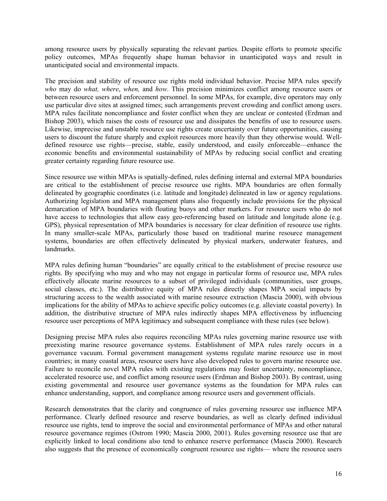among resource users by physically separating the relevant parties. Despite efforts to promote specific policy outcomes, MPAs frequently shape human behavior in unanticipated ways and result in unanticipated social and environmental impacts.

The precision and stability of resource use rights mold individual behavior. Precise MPA rules specify *who* may do *what, where*, *when,* and *how*. This precision minimizes conflict among resource users or between resource users and enforcement personnel. In some MPAs, for example, dive operators may only use particular dive sites at assigned times; such arrangements prevent crowding and conflict among users. MPA rules facilitate noncompliance and foster conflict when they are unclear or contested (Erdman and Bishop 2003), which raises the costs of resource use and dissipates the benefits of use to resource users. Likewise, imprecise and unstable resource use rights create uncertainty over future opportunities, causing users to discount the future sharply and exploit resources more heavily than they otherwise would. Welldefined resource use rights—precise, stable, easily understood, and easily enforceable—enhance the economic benefits and environmental sustainability of MPAs by reducing social conflict and creating greater certainty regarding future resource use.

Since resource use within MPAs is spatially-defined, rules defining internal and external MPA boundaries are critical to the establishment of precise resource use rights. MPA boundaries are often formally delineated by geographic coordinates (i.e. latitude and longitude) delineated in law or agency regulations. Authorizing legislation and MPA management plans also frequently include provisions for the physical demarcation of MPA boundaries with floating buoys and other markers. For resource users who do not have access to technologies that allow easy geo-referencing based on latitude and longitude alone (e.g. GPS), physical representation of MPA boundaries is necessary for clear definition of resource use rights. In many smaller-scale MPAs, particularly those based on traditional marine resource management systems, boundaries are often effectively delineated by physical markers, underwater features, and landmarks.

MPA rules defining human "boundaries" are equally critical to the establishment of precise resource use rights. By specifying who may and who may not engage in particular forms of resource use, MPA rules effectively allocate marine resources to a subset of privileged individuals (communities, user groups, social classes, etc.). The distributive equity of MPA rules directly shapes MPA social impacts by structuring access to the wealth associated with marine resource extraction (Mascia 2000), with obvious implications for the ability of MPAs to achieve specific policy outcomes (e.g. alleviate coastal poverty). In addition, the distributive structure of MPA rules indirectly shapes MPA effectiveness by influencing resource user perceptions of MPA legitimacy and subsequent compliance with these rules (see below).

Designing precise MPA rules also requires reconciling MPAs rules governing marine resource use with preexisting marine resource governance systems. Establishment of MPA rules rarely occurs in a governance vacuum. Formal government management systems regulate marine resource use in most countries; in many coastal areas, resource users have also developed rules to govern marine resource use. Failure to reconcile novel MPA rules with existing regulations may foster uncertainty, noncompliance, accelerated resource use, and conflict among resource users (Erdman and Bishop 2003). By contrast, using existing governmental and resource user governance systems as the foundation for MPA rules can enhance understanding, support, and compliance among resource users and government officials.

Research demonstrates that the clarity and congruence of rules governing resource use influence MPA performance. Clearly defined resource and reserve boundaries, as well as clearly defined individual resource use rights, tend to improve the social and environmental performance of MPAs and other natural resource governance regimes (Ostrom 1990; Mascia 2000, 2001). Rules governing resource use that are explicitly linked to local conditions also tend to enhance reserve performance (Mascia 2000). Research also suggests that the presence of economically congruent resource use rights— where the resource users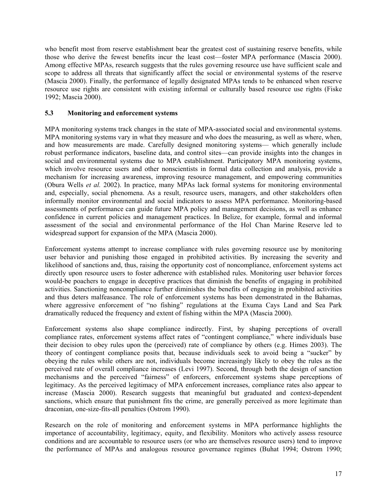who benefit most from reserve establishment bear the greatest cost of sustaining reserve benefits, while those who derive the fewest benefits incur the least cost—foster MPA performance (Mascia 2000). Among effective MPAs, research suggests that the rules governing resource use have sufficient scale and scope to address all threats that significantly affect the social or environmental systems of the reserve (Mascia 2000). Finally, the performance of legally designated MPAs tends to be enhanced when reserve resource use rights are consistent with existing informal or culturally based resource use rights (Fiske 1992; Mascia 2000).

## **5.3 Monitoring and enforcement systems**

MPA monitoring systems track changes in the state of MPA-associated social and environmental systems. MPA monitoring systems vary in what they measure and who does the measuring, as well as where, when, and how measurements are made. Carefully designed monitoring systems— which generally include robust performance indicators, baseline data, and control sites—can provide insights into the changes in social and environmental systems due to MPA establishment. Participatory MPA monitoring systems, which involve resource users and other nonscientists in formal data collection and analysis, provide a mechanism for increasing awareness, improving resource management, and empowering communities (Obura Wells *et al.* 2002). In practice, many MPAs lack formal systems for monitoring environmental and, especially, social phenomena. As a result, resource users, managers, and other stakeholders often informally monitor environmental and social indicators to assess MPA performance. Monitoring-based assessments of performance can guide future MPA policy and management decisions, as well as enhance confidence in current policies and management practices. In Belize, for example, formal and informal assessment of the social and environmental performance of the Hol Chan Marine Reserve led to widespread support for expansion of the MPA (Mascia 2000).

Enforcement systems attempt to increase compliance with rules governing resource use by monitoring user behavior and punishing those engaged in prohibited activities. By increasing the severity and likelihood of sanctions and, thus, raising the opportunity cost of noncompliance, enforcement systems act directly upon resource users to foster adherence with established rules. Monitoring user behavior forces would-be poachers to engage in deceptive practices that diminish the benefits of engaging in prohibited activities. Sanctioning noncompliance further diminishes the benefits of engaging in prohibited activities and thus deters malfeasance. The role of enforcement systems has been demonstrated in the Bahamas, where aggressive enforcement of "no fishing" regulations at the Exuma Cays Land and Sea Park dramatically reduced the frequency and extent of fishing within the MPA (Mascia 2000).

Enforcement systems also shape compliance indirectly. First, by shaping perceptions of overall compliance rates, enforcement systems affect rates of "contingent compliance," where individuals base their decision to obey rules upon the (perceived) rate of compliance by others (e.g. Himes 2003). The theory of contingent compliance posits that, because individuals seek to avoid being a "sucker" by obeying the rules while others are not, individuals become increasingly likely to obey the rules as the perceived rate of overall compliance increases (Levi 1997). Second, through both the design of sanction mechanisms and the perceived "fairness" of enforcers, enforcement systems shape perceptions of legitimacy. As the perceived legitimacy of MPA enforcement increases, compliance rates also appear to increase (Mascia 2000). Research suggests that meaningful but graduated and context-dependent sanctions, which ensure that punishment fits the crime, are generally perceived as more legitimate than draconian, one-size-fits-all penalties (Ostrom 1990).

Research on the role of monitoring and enforcement systems in MPA performance highlights the importance of accountability, legitimacy, equity, and flexibility. Monitors who actively assess resource conditions and are accountable to resource users (or who are themselves resource users) tend to improve the performance of MPAs and analogous resource governance regimes (Buhat 1994; Ostrom 1990;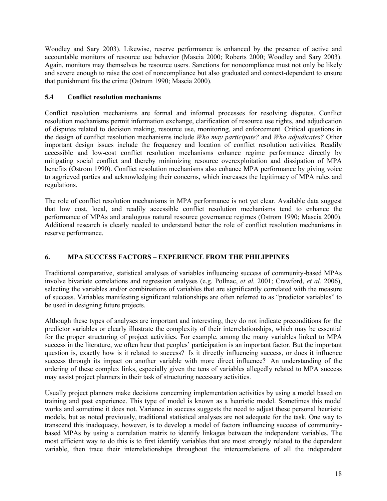Woodley and Sary 2003). Likewise, reserve performance is enhanced by the presence of active and accountable monitors of resource use behavior (Mascia 2000; Roberts 2000; Woodley and Sary 2003). Again, monitors may themselves be resource users. Sanctions for noncompliance must not only be likely and severe enough to raise the cost of noncompliance but also graduated and context-dependent to ensure that punishment fits the crime (Ostrom 1990; Mascia 2000).

## **5.4 Conflict resolution mechanisms**

Conflict resolution mechanisms are formal and informal processes for resolving disputes. Conflict resolution mechanisms permit information exchange, clarification of resource use rights, and adjudication of disputes related to decision making, resource use, monitoring, and enforcement. Critical questions in the design of conflict resolution mechanisms include *Who may participate?* and *Who adjudicates?* Other important design issues include the frequency and location of conflict resolution activities. Readily accessible and low-cost conflict resolution mechanisms enhance regime performance directly by mitigating social conflict and thereby minimizing resource overexploitation and dissipation of MPA benefits (Ostrom 1990). Conflict resolution mechanisms also enhance MPA performance by giving voice to aggrieved parties and acknowledging their concerns, which increases the legitimacy of MPA rules and regulations.

The role of conflict resolution mechanisms in MPA performance is not yet clear. Available data suggest that low cost, local, and readily accessible conflict resolution mechanisms tend to enhance the performance of MPAs and analogous natural resource governance regimes (Ostrom 1990; Mascia 2000). Additional research is clearly needed to understand better the role of conflict resolution mechanisms in reserve performance.

# **6. MPA SUCCESS FACTORS – EXPERIENCE FROM THE PHILIPPINES**

Traditional comparative, statistical analyses of variables influencing success of community-based MPAs involve bivariate correlations and regression analyses (e.g. Pollnac, *et al.* 2001; Crawford, *et al.* 2006), selecting the variables and/or combinations of variables that are significantly correlated with the measure of success. Variables manifesting significant relationships are often referred to as "predictor variables" to be used in designing future projects.

Although these types of analyses are important and interesting, they do not indicate preconditions for the predictor variables or clearly illustrate the complexity of their interrelationships, which may be essential for the proper structuring of project activities. For example, among the many variables linked to MPA success in the literature, we often hear that peoples' participation is an important factor. But the important question is, exactly how is it related to success? Is it directly influencing success, or does it influence success through its impact on another variable with more direct influence? An understanding of the ordering of these complex links, especially given the tens of variables allegedly related to MPA success may assist project planners in their task of structuring necessary activities.

Usually project planners make decisions concerning implementation activities by using a model based on training and past experience. This type of model is known as a heuristic model. Sometimes this model works and sometime it does not. Variance in success suggests the need to adjust these personal heuristic models, but as noted previously, traditional statistical analyses are not adequate for the task. One way to transcend this inadequacy, however, is to develop a model of factors influencing success of communitybased MPAs by using a correlation matrix to identify linkages between the independent variables. The most efficient way to do this is to first identify variables that are most strongly related to the dependent variable, then trace their interrelationships throughout the intercorrelations of all the independent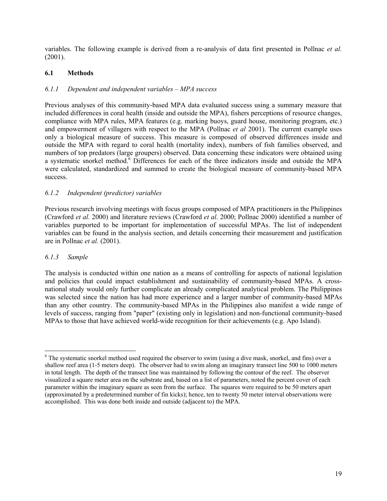variables. The following example is derived from a re-analysis of data first presented in Pollnac *et al.* (2001).

# **6.1 Methods**

# *6.1.1**Dependent and independent variables – MPA success*

Previous analyses of this community-based MPA data evaluated success using a summary measure that included differences in coral health (inside and outside the MPA), fishers perceptions of resource changes, compliance with MPA rules, MPA features (e.g. marking buoys, guard house, monitoring program, etc.) and empowerment of villagers with respect to the MPA (Pollnac *et al* 2001). The current example uses only a biological measure of success. This measure is composed of observed differences inside and outside the MPA with regard to coral health (mortality index), numbers of fish families observed, and numbers of top predators (large groupers) observed. Data concerning these indicators were obtained using a systematic snorkel method.<sup>6</sup> Differences for each of the three indicators inside and outside the MPA were calculated, standardized and summed to create the biological measure of community-based MPA success.

# *6.1.2 Independent (predictor) variables*

Previous research involving meetings with focus groups composed of MPA practitioners in the Philippines (Crawford *et al.* 2000) and literature reviews (Crawford *et al*. 2000; Pollnac 2000) identified a number of variables purported to be important for implementation of successful MPAs. The list of independent variables can be found in the analysis section, and details concerning their measurement and justification are in Pollnac *et al.* (2001).

## *6.1.3 Sample*

The analysis is conducted within one nation as a means of controlling for aspects of national legislation and policies that could impact establishment and sustainability of community-based MPAs. A crossnational study would only further complicate an already complicated analytical problem. The Philippines was selected since the nation has had more experience and a larger number of community-based MPAs than any other country. The community-based MPAs in the Philippines also manifest a wide range of levels of success, ranging from "paper" (existing only in legislation) and non-functional community-based MPAs to those that have achieved world-wide recognition for their achievements (e.g. Apo Island).

 $\overline{a}$ <sup>6</sup> The systematic snorkel method used required the observer to swim (using a dive mask, snorkel, and fins) over a shallow reef area (1-5 meters deep). The observer had to swim along an imaginary transect line 500 to 1000 meters in total length. The depth of the transect line was maintained by following the contour of the reef. The observer visualized a square meter area on the substrate and, based on a list of parameters, noted the percent cover of each parameter within the imaginary square as seen from the surface. The squares were required to be 50 meters apart (approximated by a predetermined number of fin kicks); hence, ten to twenty 50 meter interval observations were accomplished. This was done both inside and outside (adjacent to) the MPA.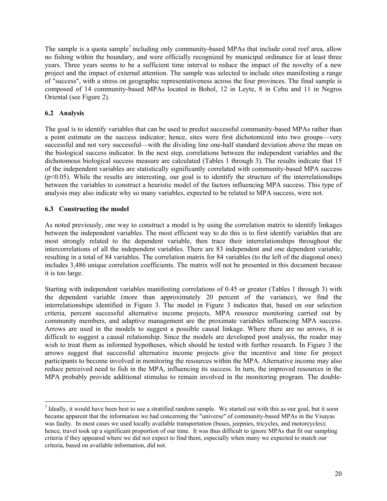The sample is a quota sample<sup>7</sup> including only community-based MPAs that include coral reef area, allow no fishing within the boundary, and were officially recognized by municipal ordinance for at least three years. Three years seems to be a sufficient time interval to reduce the impact of the novelty of a new project and the impact of external attention. The sample was selected to include sites manifesting a range of "success", with a stress on geographic representativeness across the four provinces. The final sample is composed of 14 community-based MPAs located in Bohol, 12 in Leyte, 8 in Cebu and 11 in Negros Oriental (see Figure 2).

## **6.2 Analysis**

 $\overline{a}$ 

The goal is to identify variables that can be used to predict successful community-based MPAs rather than a point estimate on the success indicator; hence, sites were first dichotomized into two groups—very successful and not very successful—with the dividing line one-half standard deviation above the mean on the biological success indicator. In the next step, correlations between the independent variables and the dichotomous biological success measure are calculated (Tables 1 through 3). The results indicate that 15 of the independent variables are statistically significantly correlated with community-based MPA success  $(p<0.05)$ . While the results are interesting, our goal is to identify the structure of the interrelationships between the variables to construct a heuristic model of the factors influencing MPA success. This type of analysis may also indicate why so many variables, expected to be related to MPA success, were not.

#### **6.3 Constructing the model**

As noted previously, one way to construct a model is by using the correlation matrix to identify linkages between the independent variables. The most efficient way to do this is to first identify variables that are most strongly related to the dependent variable, then trace their interrelationships throughout the intercorrelations of all the independent variables. There are 83 independent and one dependent variable, resulting in a total of 84 variables. The correlation matrix for 84 variables (to the left of the diagonal ones) includes 3,486 unique correlation coefficients. The matrix will not be presented in this document because it is too large.

Starting with independent variables manifesting correlations of 0.45 or greater (Tables 1 through 3) with the dependent variable (more than approximately 20 percent of the variance), we find the interrelationships identified in Figure 3. The model in Figure 3 indicates that, based on our selection criteria, percent successful alternative income projects, MPA resource monitoring carried out by community members, and adaptive management are the proximate variables influencing MPA success. Arrows are used in the models to suggest a possible causal linkage. Where there are no arrows, it is difficult to suggest a causal relationship. Since the models are developed post analysis, the reader may wish to treat them as informed hypotheses, which should be tested with further research. In Figure 3 the arrows suggest that successful alternative income projects give the incentive and time for project participants to become involved in monitoring the resources within the MPA. Alternative income may also reduce perceived need to fish in the MPA, influencing its success. In turn, the improved resources in the MPA probably provide additional stimulus to remain involved in the monitoring program. The double-

 $<sup>7</sup>$  Ideally, it would have been best to use a stratified random sample. We started out with this as our goal, but it soon</sup> became apparent that the information we had concerning the "universe" of community-based MPAs in the Visayas was faulty. In most cases we used locally available transportation (buses, jeepnies, tricycles, and motorcycles); hence, travel took up a significant proportion of our time. It was thus difficult to ignore MPAs that fit our sampling criteria if they appeared where we did not expect to find them, especially when many we expected to match our criteria, based on available information, did not.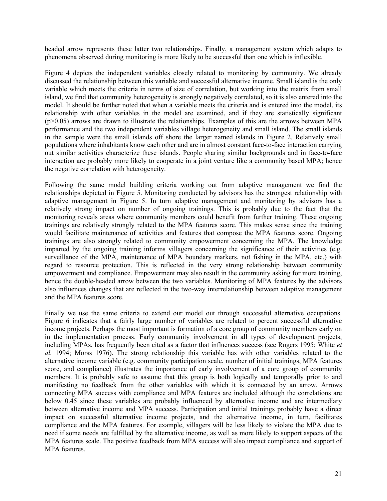headed arrow represents these latter two relationships. Finally, a management system which adapts to phenomena observed during monitoring is more likely to be successful than one which is inflexible.

Figure 4 depicts the independent variables closely related to monitoring by community. We already discussed the relationship between this variable and successful alternative income. Small island is the only variable which meets the criteria in terms of size of correlation, but working into the matrix from small island, we find that community heterogeneity is strongly negatively correlated, so it is also entered into the model. It should be further noted that when a variable meets the criteria and is entered into the model, its relationship with other variables in the model are examined, and if they are statistically significant  $(p>0.05)$  arrows are drawn to illustrate the relationships. Examples of this are the arrows between MPA performance and the two independent variables village heterogeneity and small island. The small islands in the sample were the small islands off shore the larger named islands in Figure 2. Relatively small populations where inhabitants know each other and are in almost constant face-to-face interaction carrying out similar activities characterize these islands. People sharing similar backgrounds and in face-to-face interaction are probably more likely to cooperate in a joint venture like a community based MPA; hence the negative correlation with heterogeneity.

Following the same model building criteria working out from adaptive management we find the relationships depicted in Figure 5. Monitoring conducted by advisors has the strongest relationship with adaptive management in Figure 5. In turn adaptive management and monitoring by advisors has a relatively strong impact on number of ongoing trainings. This is probably due to the fact that the monitoring reveals areas where community members could benefit from further training. These ongoing trainings are relatively strongly related to the MPA features score. This makes sense since the training would facilitate maintenance of activities and features that compose the MPA features score. Ongoing trainings are also strongly related to community empowerment concerning the MPA. The knowledge imparted by the ongoing training informs villagers concerning the significance of their activities (e.g. surveillance of the MPA, maintenance of MPA boundary markers, not fishing in the MPA, etc.) with regard to resource protection. This is reflected in the very strong relationship between community empowerment and compliance. Empowerment may also result in the community asking for more training, hence the double-headed arrow between the two variables. Monitoring of MPA features by the advisors also influences changes that are reflected in the two-way interrelationship between adaptive management and the MPA features score.

Finally we use the same criteria to extend our model out through successful alternative occupations. Figure 6 indicates that a fairly large number of variables are related to percent successful alternative income projects. Perhaps the most important is formation of a core group of community members early on in the implementation process. Early community involvement in all types of development projects, including MPAs, has frequently been cited as a factor that influences success (see Rogers 1995; White *et al.* 1994; Morss 1976). The strong relationship this variable has with other variables related to the alternative income variable (e.g. community participation scale, number of initial trainings, MPA features score, and compliance) illustrates the importance of early involvement of a core group of community members. It is probably safe to assume that this group is both logically and temporally prior to and manifesting no feedback from the other variables with which it is connected by an arrow. Arrows connecting MPA success with compliance and MPA features are included although the correlations are below 0.45 since these variables are probably influenced by alternative income and are intermediary between alternative income and MPA success. Participation and initial trainings probably have a direct impact on successful alternative income projects, and the alternative income, in turn, facilitates compliance and the MPA features. For example, villagers will be less likely to violate the MPA due to need if some needs are fulfilled by the alternative income, as well as more likely to support aspects of the MPA features scale. The positive feedback from MPA success will also impact compliance and support of MPA features.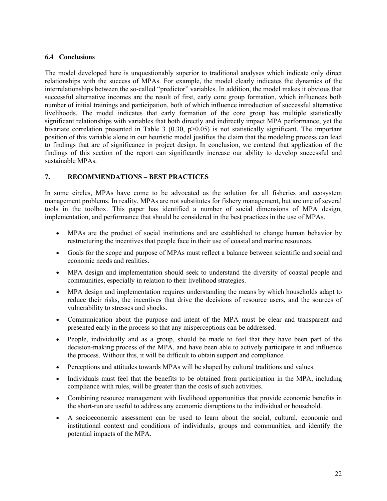#### **6.4 Conclusions**

The model developed here is unquestionably superior to traditional analyses which indicate only direct relationships with the success of MPAs. For example, the model clearly indicates the dynamics of the interrelationships between the so-called "predictor" variables. In addition, the model makes it obvious that successful alternative incomes are the result of first, early core group formation, which influences both number of initial trainings and participation, both of which influence introduction of successful alternative livelihoods. The model indicates that early formation of the core group has multiple statistically significant relationships with variables that both directly and indirectly impact MPA performance, yet the bivariate correlation presented in Table 3 (0.30, p>0.05) is not statistically significant. The important position of this variable alone in our heuristic model justifies the claim that the modeling process can lead to findings that are of significance in project design. In conclusion, we contend that application of the findings of this section of the report can significantly increase our ability to develop successful and sustainable MPAs.

## **7. RECOMMENDATIONS – BEST PRACTICES**

In some circles, MPAs have come to be advocated as the solution for all fisheries and ecosystem management problems. In reality, MPAs are not substitutes for fishery management, but are one of several tools in the toolbox. This paper has identified a number of social dimensions of MPA design, implementation, and performance that should be considered in the best practices in the use of MPAs.

- MPAs are the product of social institutions and are established to change human behavior by restructuring the incentives that people face in their use of coastal and marine resources.
- Goals for the scope and purpose of MPAs must reflect a balance between scientific and social and economic needs and realities.
- MPA design and implementation should seek to understand the diversity of coastal people and communities, especially in relation to their livelihood strategies.
- MPA design and implementation requires understanding the means by which households adapt to reduce their risks, the incentives that drive the decisions of resource users, and the sources of vulnerability to stresses and shocks.
- Communication about the purpose and intent of the MPA must be clear and transparent and presented early in the process so that any misperceptions can be addressed.
- People, individually and as a group, should be made to feel that they have been part of the decision-making process of the MPA, and have been able to actively participate in and influence the process. Without this, it will be difficult to obtain support and compliance.
- Perceptions and attitudes towards MPAs will be shaped by cultural traditions and values.
- Individuals must feel that the benefits to be obtained from participation in the MPA, including compliance with rules, will be greater than the costs of such activities.
- Combining resource management with livelihood opportunities that provide economic benefits in the short-run are useful to address any economic disruptions to the individual or household.
- A socioeconomic assessment can be used to learn about the social, cultural, economic and institutional context and conditions of individuals, groups and communities, and identify the potential impacts of the MPA.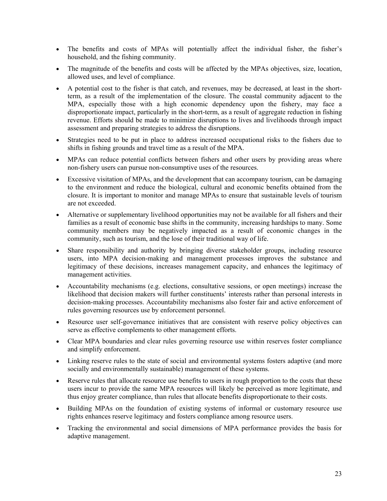- The benefits and costs of MPAs will potentially affect the individual fisher, the fisher's household, and the fishing community.
- The magnitude of the benefits and costs will be affected by the MPAs objectives, size, location, allowed uses, and level of compliance.
- A potential cost to the fisher is that catch, and revenues, may be decreased, at least in the shortterm, as a result of the implementation of the closure. The coastal community adjacent to the MPA, especially those with a high economic dependency upon the fishery, may face a disproportionate impact, particularly in the short-term, as a result of aggregate reduction in fishing revenue. Efforts should be made to minimize disruptions to lives and livelihoods through impact assessment and preparing strategies to address the disruptions.
- Strategies need to be put in place to address increased occupational risks to the fishers due to shifts in fishing grounds and travel time as a result of the MPA.
- MPAs can reduce potential conflicts between fishers and other users by providing areas where non-fishery users can pursue non-consumptive uses of the resources.
- Excessive visitation of MPAs, and the development that can accompany tourism, can be damaging to the environment and reduce the biological, cultural and economic benefits obtained from the closure. It is important to monitor and manage MPAs to ensure that sustainable levels of tourism are not exceeded.
- Alternative or supplementary livelihood opportunities may not be available for all fishers and their families as a result of economic base shifts in the community, increasing hardships to many. Some community members may be negatively impacted as a result of economic changes in the community, such as tourism, and the lose of their traditional way of life.
- Share responsibility and authority by bringing diverse stakeholder groups, including resource users, into MPA decision-making and management processes improves the substance and legitimacy of these decisions, increases management capacity, and enhances the legitimacy of management activities.
- Accountability mechanisms (e.g. elections, consultative sessions, or open meetings) increase the likelihood that decision makers will further constituents' interests rather than personal interests in decision-making processes. Accountability mechanisms also foster fair and active enforcement of rules governing resources use by enforcement personnel.
- Resource user self-governance initiatives that are consistent with reserve policy objectives can serve as effective complements to other management efforts.
- Clear MPA boundaries and clear rules governing resource use within reserves foster compliance and simplify enforcement.
- Linking reserve rules to the state of social and environmental systems fosters adaptive (and more socially and environmentally sustainable) management of these systems.
- Reserve rules that allocate resource use benefits to users in rough proportion to the costs that these users incur to provide the same MPA resources will likely be perceived as more legitimate, and thus enjoy greater compliance, than rules that allocate benefits disproportionate to their costs.
- Building MPAs on the foundation of existing systems of informal or customary resource use rights enhances reserve legitimacy and fosters compliance among resource users.
- Tracking the environmental and social dimensions of MPA performance provides the basis for adaptive management.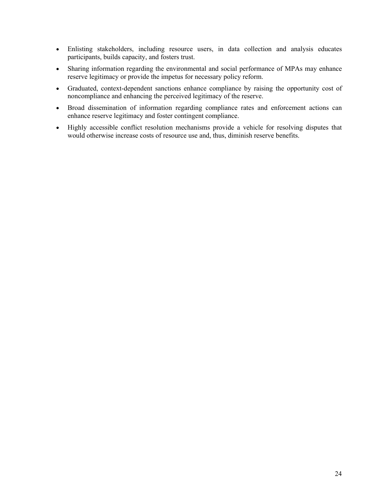- Enlisting stakeholders, including resource users, in data collection and analysis educates participants, builds capacity, and fosters trust.
- Sharing information regarding the environmental and social performance of MPAs may enhance reserve legitimacy or provide the impetus for necessary policy reform.
- Graduated, context-dependent sanctions enhance compliance by raising the opportunity cost of noncompliance and enhancing the perceived legitimacy of the reserve.
- Broad dissemination of information regarding compliance rates and enforcement actions can enhance reserve legitimacy and foster contingent compliance.
- Highly accessible conflict resolution mechanisms provide a vehicle for resolving disputes that would otherwise increase costs of resource use and, thus, diminish reserve benefits.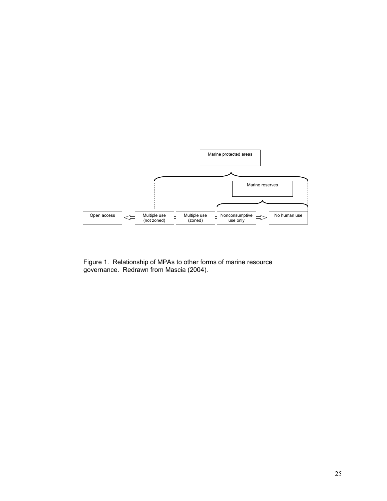

Figure 1. Relationship of MPAs to other forms of marine resource governance. Redrawn from Mascia (2004).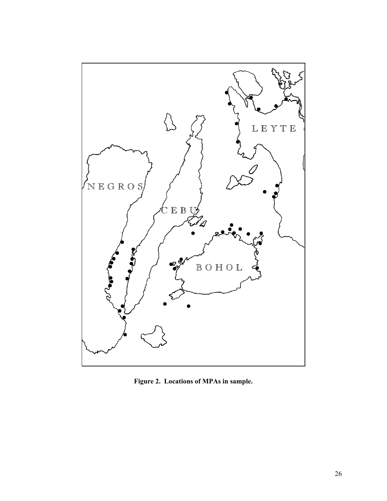

**Figure 2. Locations of MPAs in sample.**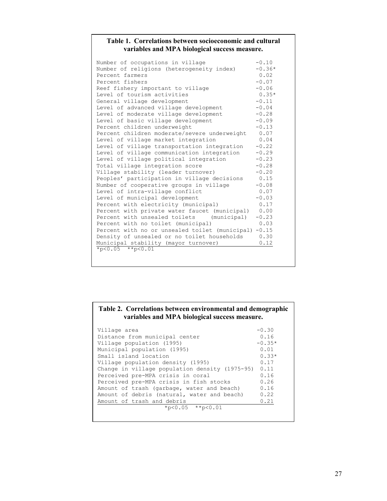#### **Table 1. Correlations between socioeconomic and cultural variables and MPA biological success measure.**

| Number of occupations in village<br>Number of religions (heterogeneity index) | $-0.10$<br>$-0.36*$ |
|-------------------------------------------------------------------------------|---------------------|
| Percent farmers                                                               | 0.02                |
| Percent fishers                                                               | $-0.07$             |
| Reef fishery important to village                                             | $-0.06$             |
| Level of tourism activities                                                   | $0.35*$             |
| General village development                                                   | $-0.11$             |
| Level of advanced village development                                         | $-0.04$             |
| Level of moderate village development                                         | $-0.28$             |
| Level of basic village development                                            | $-0.09$             |
| Percent children underweight                                                  | $-0.13$             |
| Percent children moderate/severe underweight                                  | 0.07                |
| Level of village market integration                                           | 0.04                |
| Level of village transportation integration                                   | $-0.22$             |
| Level of village communication integration                                    | $-0.29$             |
| Level of village political integration                                        | $-0.23$             |
| Total village integration score                                               | $-0.28$             |
| Village stability (leader turnover)                                           | $-0.20$             |
| Peoples' participation in village decisions                                   | 0.15                |
| Number of cooperative groups in village                                       | $-0.08$             |
| Level of intra-village conflict                                               | 0.07                |
| Level of municipal development                                                | $-0.03$             |
| Percent with electricity (municipal)                                          | 0.17                |
| Percent with private water faucet (municipal)                                 | 0.00                |
| Percent with unsealed toilets (municipal)                                     | $-0.23$             |
| Percent with no toilet (municipal)                                            | 0.03                |
| Percent with no or unsealed toilet (municipal) -0.15                          |                     |
| Density of unsealed or no toilet households                                   | 0.30                |
| Municipal stability (mayor turnover)                                          | 0.12                |
| $*p<0.05$ $*p<0.01$                                                           |                     |
|                                                                               |                     |

# **Table 2. Correlations between environmental and demographic variables and MPA biological success measure.**

| Village area                                   | $-0.30$  |
|------------------------------------------------|----------|
| Distance from municipal center                 | 0.16     |
| Village population (1995)                      | $-0.35*$ |
| Municipal population (1995)                    | 0.01     |
| Small island location                          | $0.33*$  |
| Village population density (1995)              | 0.17     |
| Change in village population density (1975-95) | 0.11     |
| Perceived pre-MPA crisis in coral              | 0.16     |
| Perceived pre-MPA crisis in fish stocks        | 0.26     |
| Amount of trash (garbage, water and beach)     | 0.16     |
| Amount of debris (natural, water and beach)    | 0.22     |
| Amount of trash and debris                     | 0.21     |
| $*p<0.05$ $*p<0.01$                            |          |
|                                                |          |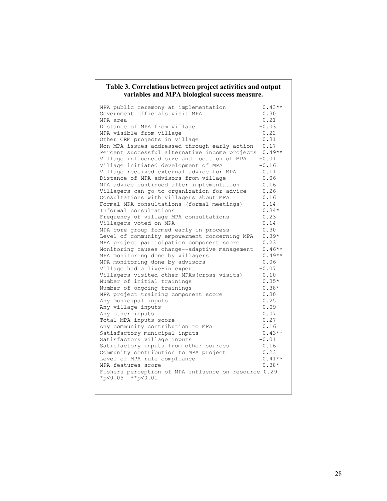#### **Table 3. Correlations between project activities and output variables and MPA biological success measure.**

| MPA public ceremony at implementation<br>Government officials visit MPA<br>MPA area | $0.43**$<br>0.30<br>0.21 |
|-------------------------------------------------------------------------------------|--------------------------|
| Distance of MPA from village                                                        | $-0.03$                  |
| MPA visible from village                                                            | $-0.22$                  |
| Other CRM projects in village                                                       | 0.31                     |
| Non-MPA issues addressed through early action                                       | 0.17                     |
| Percent successful alternative income projects                                      | $0.49**$                 |
| Village influenced size and location of MPA                                         | $-0.01$                  |
| Village initiated development of MPA                                                | $-0.16$                  |
| Village received external advice for MPA                                            | 0.11                     |
| Distance of MPA advisors from village                                               | $-0.06$                  |
| MPA advice continued after implementation                                           | 0.16                     |
| Villagers can go to organization for advice                                         | 0.26                     |
| Consultations with villagers about MPA                                              | 0.16                     |
| Formal MPA consultations (formal meetings)                                          | 0.14                     |
| Informal consultations                                                              | $0.34*$                  |
| Frequency of village MPA consultations                                              | 0.23                     |
| Villagers voted on MPA                                                              | 0.14                     |
| MPA core group formed early in process                                              | 0.30                     |
| Level of community empowerment concerning MPA                                       | $0.39*$                  |
| MPA project participation component score                                           | 0.23                     |
| Monitoring causes change--adaptive management                                       | $0.46**$                 |
| MPA monitoring done by villagers                                                    | $0.49**$                 |
| MPA monitoring done by advisors                                                     | 0.06                     |
| Village had a live-in expert                                                        | $-0.07$                  |
| Villagers visited other MPAs (cross visits)                                         | 0.10                     |
| Number of initial trainings                                                         | $0.35*$                  |
| Number of ongoing trainings                                                         | $0.38*$                  |
| MPA project training component score                                                | 0.30                     |
| Any municipal inputs                                                                | 0.25                     |
| Any village inputs                                                                  | 0.09                     |
| Any other inputs                                                                    | 0.07                     |
| Total MPA inputs score                                                              | 0.27                     |
| Any community contribution to MPA                                                   | 0.16                     |
| Satisfactory municipal inputs                                                       | $0.43**$                 |
| Satisfactory village inputs                                                         | $-0.01$                  |
| Satisfactory inputs from other sources                                              | 0.16                     |
| Community contribution to MPA project                                               | 0.23                     |
| Level of MPA rule compliance                                                        | $0.41**$                 |
| MPA features score                                                                  | $0.38*$                  |
| Fishers perception of MPA influence on resource 0.29                                |                          |
| $*_{p<0.05}$ $*_{p<0.01}$                                                           |                          |
|                                                                                     |                          |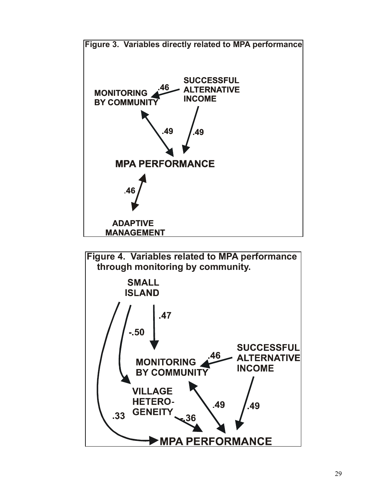

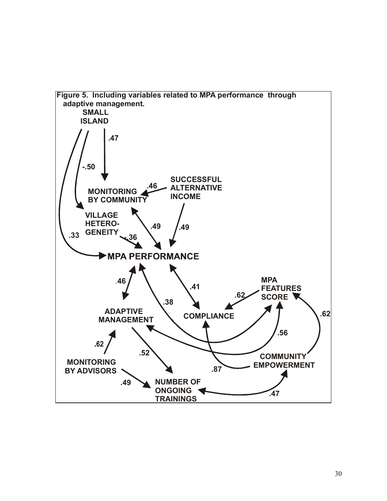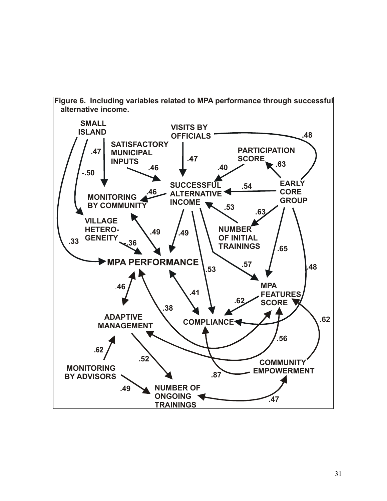

31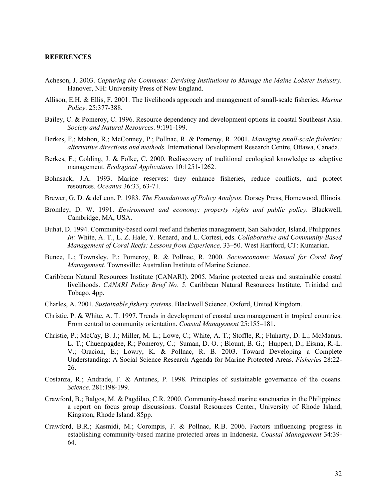#### **REFERENCES**

- Acheson, J. 2003. *Capturing the Commons: Devising Institutions to Manage the Maine Lobster Industry.*  Hanover, NH: University Press of New England.
- Allison, E.H. & Ellis, F. 2001. The livelihoods approach and management of small-scale fisheries. *Marine Policy*. 25:377-388.
- Bailey, C. & Pomeroy, C. 1996. Resource dependency and development options in coastal Southeast Asia. *Society and Natural Resources*. 9:191-199.
- Berkes, F.; Mahon, R.; McConney, P.; Pollnac, R. & Pomeroy, R. 2001. *Managing small-scale fisheries: alternative directions and methods.* International Development Research Centre, Ottawa, Canada.
- Berkes, F.; Colding, J. & Folke, C. 2000. Rediscovery of traditional ecological knowledge as adaptive management. *Ecological Applications* 10:1251-1262.
- Bohnsack, J.A. 1993. Marine reserves: they enhance fisheries, reduce conflicts, and protect resources. *Oceanus* 36:33, 63-71.
- Brewer, G. D. & deLeon, P. 1983. *The Foundations of Policy Analysis*. Dorsey Press, Homewood, Illinois.
- Bromley, D. W. 1991. *Environment and economy: property rights and public policy*. Blackwell, Cambridge, MA, USA.
- Buhat, D. 1994. Community-based coral reef and fisheries management, San Salvador, Island, Philippines. *In:* White, A. T., L. Z. Hale, Y. Renard, and L. Cortesi, eds. *Collaborative and Community-Based Management of Coral Reefs: Lessons from Experience,* 33–50. West Hartford, CT: Kumarian.
- Bunce, L.; Townsley, P.; Pomeroy, R. & Pollnac, R. 2000. *Socioeconomic Manual for Coral Reef Management.* Townsville: Australian Institute of Marine Science.
- Caribbean Natural Resources Institute (CANARI). 2005. Marine protected areas and sustainable coastal livelihoods. *CANARI Policy Brief No. 5*. Caribbean Natural Resources Institute, Trinidad and Tobago. 4pp.
- Charles, A. 2001. *Sustainable fishery systems*. Blackwell Science. Oxford, United Kingdom.
- Christie, P. & White, A. T. 1997. Trends in development of coastal area management in tropical countries: From central to community orientation. *Coastal Management* 25:155–181.
- Christie, P.; McCay, B. J.; Miller, M. L.; Lowe, C.; White, A. T.; Stoffle, R.; Fluharty, D. L.; McManus, L. T.; Chuenpagdee, R.; Pomeroy, C.; Suman, D. O. ; Blount, B. G.; Huppert, D.; Eisma, R.-L. V.; Oracion, E.; Lowry, K. & Pollnac, R. B. 2003. Toward Developing a Complete Understanding: A Social Science Research Agenda for Marine Protected Areas. *Fisheries* 28:22- 26.
- Costanza, R.; Andrade, F. & Antunes, P. 1998. Principles of sustainable governance of the oceans. *Science*. 281:198-199.
- Crawford, B.; Balgos, M. & Pagdilao, C.R. 2000. Community-based marine sanctuaries in the Philippines: a report on focus group discussions. Coastal Resources Center, University of Rhode Island, Kingston, Rhode Island. 85pp.
- Crawford, B.R.; Kasmidi, M.; Corompis, F. & Pollnac, R.B. 2006. Factors influencing progress in establishing community-based marine protected areas in Indonesia. *Coastal Management* 34:39- 64.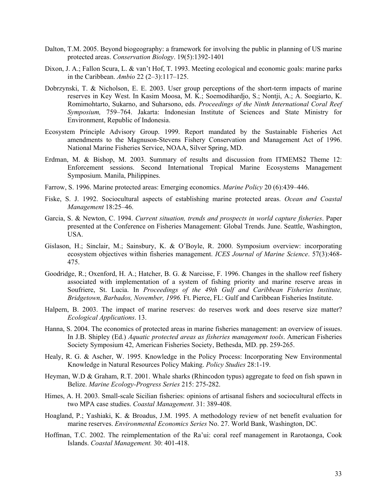- Dalton, T.M. 2005. Beyond biogeography: a framework for involving the public in planning of US marine protected areas. *Conservation Biology*. 19(5):1392-1401
- Dixon, J. A.; Fallon Scura, L. & van't Hof, T. 1993. Meeting ecological and economic goals: marine parks in the Caribbean. *Ambio* 22 (2–3):117–125.
- Dobrzynski, T. & Nicholson, E. E. 2003. User group perceptions of the short-term impacts of marine reserves in Key West. In Kasim Moosa, M. K.; Soemodihardjo, S.; Nontji, A.; A. Soegiarto, K. Romimohtarto, Sukarno, and Suharsono, eds. *Proceedings of the Ninth International Coral Reef Symposium,* 759–764. Jakarta: Indonesian Institute of Sciences and State Ministry for Environment, Republic of Indonesia.
- Ecosystem Principle Advisory Group. 1999. Report mandated by the Sustainable Fisheries Act amendments to the Magnuson-Stevens Fishery Conservation and Management Act of 1996. National Marine Fisheries Service, NOAA, Silver Spring, MD.
- Erdman, M. & Bishop, M. 2003. Summary of results and discussion from ITMEMS2 Theme 12: Enforcement sessions. Second International Tropical Marine Ecosystems Management Symposium. Manila, Philippines.
- Farrow, S. 1996. Marine protected areas: Emerging economics. *Marine Policy* 20 (6):439–446.
- Fiske, S. J. 1992. Sociocultural aspects of establishing marine protected areas. *Ocean and Coastal Management* 18:25–46.
- Garcia, S. & Newton, C. 1994. *Current situation, trends and prospects in world capture fisheries*. Paper presented at the Conference on Fisheries Management: Global Trends. June. Seattle, Washington, USA.
- Gislason, H.; Sinclair, M.; Sainsbury, K. & O'Boyle, R. 2000. Symposium overview: incorporating ecosystem objectives within fisheries management. *ICES Journal of Marine Science*. 57(3):468- 475.
- Goodridge, R.; Oxenford, H. A.; Hatcher, B. G. & Narcisse, F. 1996. Changes in the shallow reef fishery associated with implementation of a system of fishing priority and marine reserve areas in Soufriere, St. Lucia. In *Proceedings of the 49th Gulf and Caribbean Fisheries Institute, Bridgetown, Barbados, November, 1996.* Ft. Pierce, FL: Gulf and Caribbean Fisheries Institute.
- Halpern, B. 2003. The impact of marine reserves: do reserves work and does reserve size matter? *Ecological Applications*. 13.
- Hanna, S. 2004. The economics of protected areas in marine fisheries management: an overview of issues. In J.B. Shipley (Ed.) *Aquatic protected areas as fisheries management tools*. American Fisheries Society Symposium 42, American Fisheries Society, Bethesda, MD. pp. 259-265.
- Healy, R. G. & Ascher, W. 1995. Knowledge in the Policy Process: Incorporating New Environmental Knowledge in Natural Resources Policy Making. *Policy Studies* 28:1-19.
- Heyman, W.D & Graham, R.T. 2001. Whale sharks (Rhincodon typus) aggregate to feed on fish spawn in Belize. *Marine Ecology-Progress Series* 215: 275-282.
- Himes, A. H. 2003. Small-scale Sicilian fisheries: opinions of artisanal fishers and sociocultural effects in two MPA case studies. *Coastal Management*. 31: 389-408.
- Hoagland, P.; Yashiaki, K. & Broadus, J.M. 1995. A methodology review of net benefit evaluation for marine reserves. *Environmental Economics Series* No. 27. World Bank, Washington, DC.
- Hoffman, T.C. 2002. The reimplementation of the Ra'ui: coral reef management in Rarotaonga, Cook Islands. *Coastal Management.* 30: 401-418.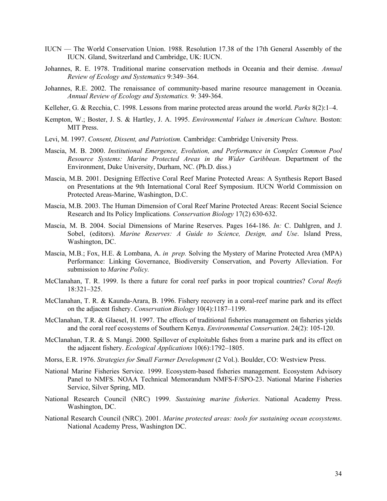- IUCN The World Conservation Union. 1988. Resolution 17.38 of the 17th General Assembly of the IUCN. Gland, Switzerland and Cambridge, UK: IUCN.
- Johannes, R. E. 1978. Traditional marine conservation methods in Oceania and their demise. *Annual Review of Ecology and Systematics* 9:349–364.
- Johannes, R.E. 2002. The renaissance of community-based marine resource management in Oceania. *Annual Review of Ecology and Systematics.* 9: 349-364.
- Kelleher, G. & Recchia, C. 1998. Lessons from marine protected areas around the world. *Parks* 8(2):1–4.
- Kempton, W.; Boster, J. S. & Hartley, J. A. 1995. *Environmental Values in American Culture.* Boston: MIT Press.
- Levi, M. 1997. *Consent, Dissent, and Patriotism.* Cambridge: Cambridge University Press.
- Mascia, M. B. 2000. *Institutional Emergence, Evolution, and Performance in Complex Common Pool Resource Systems: Marine Protected Areas in the Wider Caribbean*. Department of the Environment, Duke University, Durham, NC. (Ph.D. diss.)
- Mascia, M.B. 2001. Designing Effective Coral Reef Marine Protected Areas: A Synthesis Report Based on Presentations at the 9th International Coral Reef Symposium. IUCN World Commission on Protected Areas-Marine, Washington, D.C.
- Mascia, M.B. 2003. The Human Dimension of Coral Reef Marine Protected Areas: Recent Social Science Research and Its Policy Implications*. Conservation Biology* 17(2) 630-632.
- Mascia, M. B. 2004. Social Dimensions of Marine Reserves. Pages 164-186. *In:* C. Dahlgren, and J. Sobel, (editors). *Marine Reserves: A Guide to Science, Design, and Use*. Island Press, Washington, DC.
- Mascia, M.B.; Fox, H.E. & Lombana, A. *in prep.* Solving the Mystery of Marine Protected Area (MPA) Performance: Linking Governance, Biodiversity Conservation, and Poverty Alleviation. For submission to *Marine Policy.*
- McClanahan, T. R. 1999. Is there a future for coral reef parks in poor tropical countries? *Coral Reefs*  18:321–325.
- McClanahan, T. R. & Kaunda-Arara, B. 1996. Fishery recovery in a coral-reef marine park and its effect on the adjacent fishery. *Conservation Biology* 10(4):1187–1199.
- McClanahan, T.R. & Glaesel, H. 1997. The effects of traditional fisheries management on fisheries yields and the coral reef ecosystems of Southern Kenya. *Environmental Conservation*. 24(2): 105-120.
- McClanahan, T.R. & S. Mangi. 2000. Spillover of exploitable fishes from a marine park and its effect on the adjacent fishery. *Ecological Applications* 10(6):1792–1805.
- Morss, E.R. 1976. *Strategies for Small Farmer Development* (2 Vol.). Boulder, CO: Westview Press.
- National Marine Fisheries Service. 1999. Ecosystem-based fisheries management. Ecosystem Advisory Panel to NMFS. NOAA Technical Memorandum NMFS-F/SPO-23. National Marine Fisheries Service, Silver Spring, MD.
- National Research Council (NRC) 1999. *Sustaining marine fisheries*. National Academy Press. Washington, DC.
- National Research Council (NRC). 2001. *Marine protected areas: tools for sustaining ocean ecosystems*. National Academy Press, Washington DC.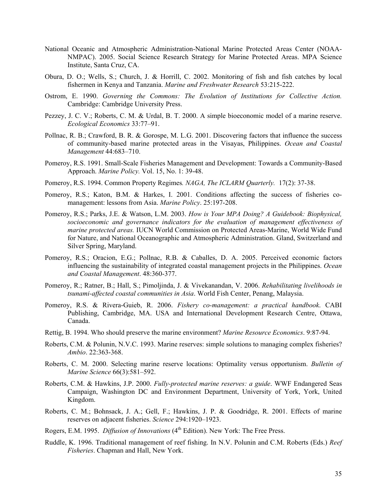- National Oceanic and Atmospheric Administration-National Marine Protected Areas Center (NOAA-NMPAC). 2005. Social Science Research Strategy for Marine Protected Areas. MPA Science Institute, Santa Cruz, CA.
- Obura, D. O.; Wells, S.; Church, J. & Horrill, C. 2002. Monitoring of fish and fish catches by local fishermen in Kenya and Tanzania. *Marine and Freshwater Research* 53:215-222.
- Ostrom, E. 1990. *Governing the Commons: The Evolution of Institutions for Collective Action.*  Cambridge: Cambridge University Press.
- Pezzey, J. C. V.; Roberts, C. M. & Urdal, B. T. 2000. A simple bioeconomic model of a marine reserve. *Ecological Economics* 33:77–91.
- Pollnac, R. B.; Crawford, B. R. & Gorospe, M. L.G. 2001. Discovering factors that influence the success of community-based marine protected areas in the Visayas, Philippines. *Ocean and Coastal Management* 44:683–710.
- Pomeroy, R.S. 1991. Small-Scale Fisheries Management and Development: Towards a Community-Based Approach. *Marine Policy.* Vol. 15, No. 1: 39-48.
- Pomeroy, R.S. 1994. Common Property Regimes*. NAGA, The ICLARM Quarterly.* 17(2): 37-38.
- Pomeroy, R.S.; Katon, B.M. & Harkes, I. 2001. Conditions affecting the success of fisheries comanagement: lessons from Asia. *Marine Policy*. 25:197-208.
- Pomeroy, R.S.; Parks, J.E. & Watson, L.M. 2003. *How is Your MPA Doing? A Guidebook: Biophysical, socioeconomic and governance indicators for the evaluation of management effectiveness of marine protected areas.* IUCN World Commission on Protected Areas-Marine, World Wide Fund for Nature, and National Oceanographic and Atmospheric Administration. Gland, Switzerland and Silver Spring, Maryland.
- Pomeroy, R.S.; Oracion, E.G.; Pollnac, R.B. & Caballes, D. A. 2005. Perceived economic factors influencing the sustainability of integrated coastal management projects in the Philippines. *Ocean and Coastal Management*. 48:360-377.
- Pomeroy, R.; Ratner, B.; Hall, S.; Pimoljinda, J. & Vivekanandan, V. 2006. *Rehabilitating livelihoods in tsunami-affected coastal communities in Asia*. World Fish Center, Penang, Malaysia.
- Pomeroy, R.S. & Rivera-Guieb, R. 2006. *Fishery co-management: a practical handbook*. CABI Publishing, Cambridge, MA. USA and International Development Research Centre, Ottawa, Canada.
- Rettig, B. 1994. Who should preserve the marine environment? *Marine Resource Economics*. 9:87-94.
- Roberts, C.M. & Polunin, N.V.C. 1993. Marine reserves: simple solutions to managing complex fisheries? *Ambio*. 22:363-368.
- Roberts, C. M. 2000. Selecting marine reserve locations: Optimality versus opportunism. *Bulletin of Marine Science* 66(3):581–592.
- Roberts, C.M. & Hawkins, J.P. 2000. *Fully-protected marine reserves: a guide*. WWF Endangered Seas Campaign, Washington DC and Environment Department, University of York, York, United Kingdom.
- Roberts, C. M.; Bohnsack, J. A.; Gell, F.; Hawkins, J. P. & Goodridge, R. 2001. Effects of marine reserves on adjacent fisheries. *Science* 294:1920–1923.
- Rogers, E.M. 1995. *Diffusion of Innovations* (4<sup>th</sup> Edition). New York: The Free Press.
- Ruddle, K. 1996. Traditional management of reef fishing. In N.V. Polunin and C.M. Roberts (Eds.) *Reef Fisheries*. Chapman and Hall, New York.